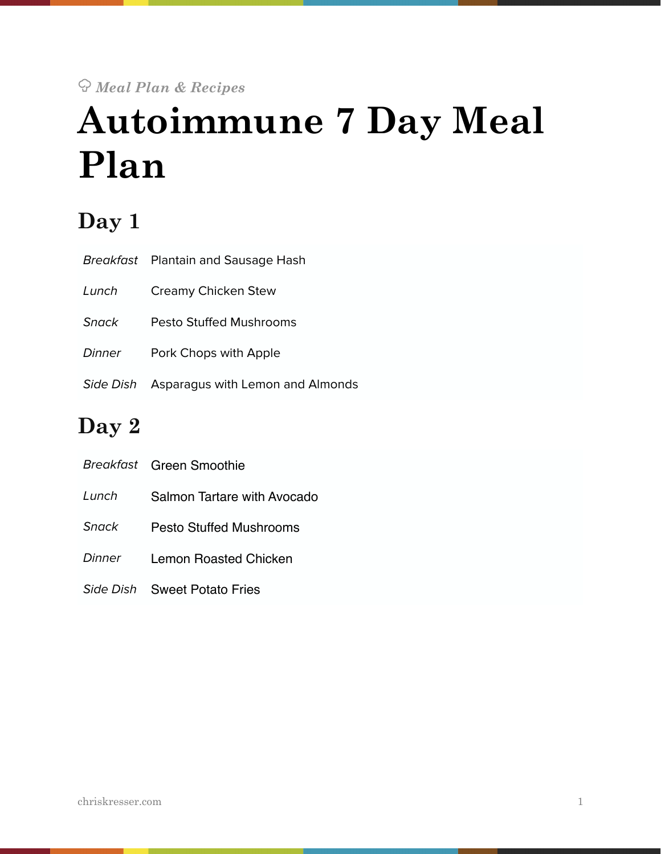## ! *Meal Plan & Recipes*  **Autoimmune 7 Day Meal Plan**

### **Day 1**

|               | Breakfast Plantain and Sausage Hash |
|---------------|-------------------------------------|
| Lunch         | Creamy Chicken Stew                 |
| Snack         | Pesto Stuffed Mushrooms             |
| <b>Dinner</b> | Pork Chops with Apple               |
| Side Dish     | Asparagus with Lemon and Almonds    |

### **Day 2**

|        | <b>Breakfast</b> Green Smoothie |
|--------|---------------------------------|
| Lunch  | Salmon Tartare with Avocado     |
| Snack  | Pesto Stuffed Mushrooms         |
| Dinner | Lemon Roasted Chicken           |
|        |                                 |

*Side Dish* Sweet Potato Fries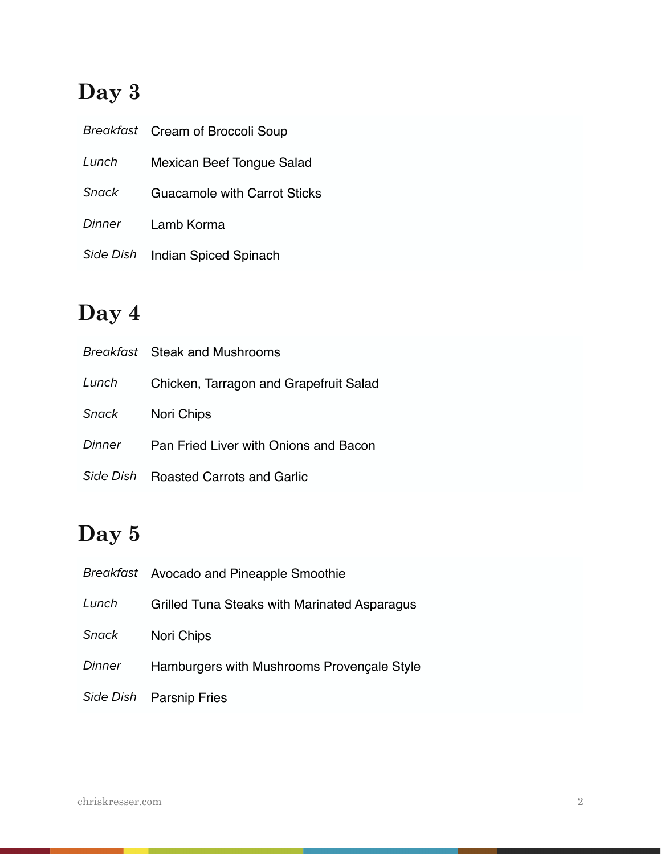### **Day 3**

|              | Breakfast Cream of Broccoli Soup    |
|--------------|-------------------------------------|
| Lunch        | Mexican Beef Tongue Salad           |
| <b>Snack</b> | <b>Guacamole with Carrot Sticks</b> |
| Dinner       | Lamb Korma                          |
| Side Dish    | <b>Indian Spiced Spinach</b>        |

### **Day 4**

|               | Breakfast Steak and Mushrooms          |
|---------------|----------------------------------------|
| Lunch         | Chicken, Tarragon and Grapefruit Salad |
| Snack         | Nori Chips                             |
| <b>Dinner</b> | Pan Fried Liver with Onions and Bacon  |
| Side Dish     | <b>Roasted Carrots and Garlic</b>      |

### **Day 5**

|               | Breakfast Avocado and Pineapple Smoothie     |
|---------------|----------------------------------------------|
| Lunch         | Grilled Tuna Steaks with Marinated Asparagus |
| Snack         | Nori Chips                                   |
| <b>Dinner</b> | Hamburgers with Mushrooms Provençale Style   |
| Side Dish     | <b>Parsnip Fries</b>                         |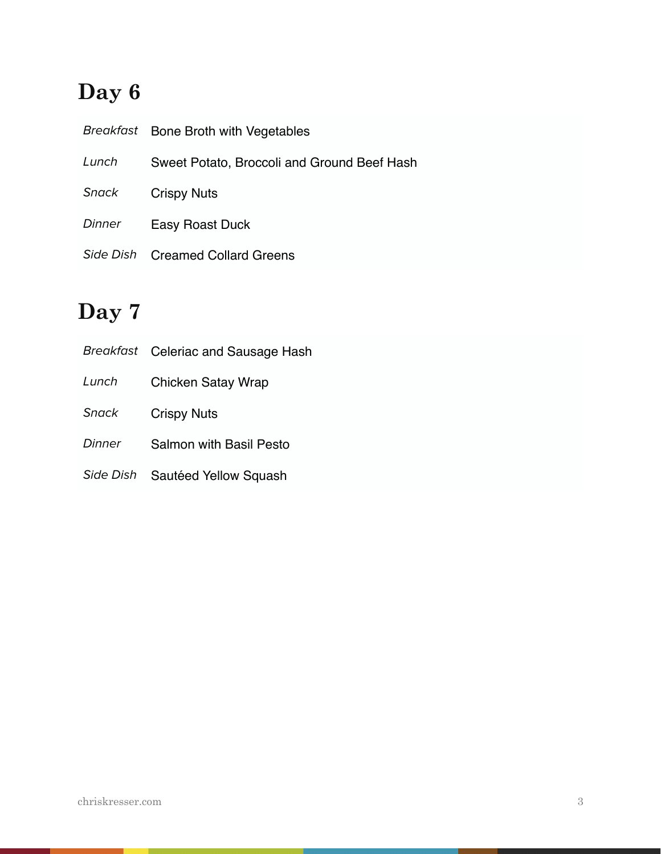### **Day 6**

|        | Breakfast Bone Broth with Vegetables        |
|--------|---------------------------------------------|
| Lunch  | Sweet Potato, Broccoli and Ground Beef Hash |
| Snack  | <b>Crispy Nuts</b>                          |
| Dinner | Easy Roast Duck                             |
|        | Side Dish Creamed Collard Greens            |

### **Day 7**

|              | Breakfast Celeriac and Sausage Hash |
|--------------|-------------------------------------|
| Lunch        | <b>Chicken Satay Wrap</b>           |
| <b>Snack</b> | <b>Crispy Nuts</b>                  |
| Dinner       | <b>Salmon with Basil Pesto</b>      |
| Side Dish    | Sautéed Yellow Squash               |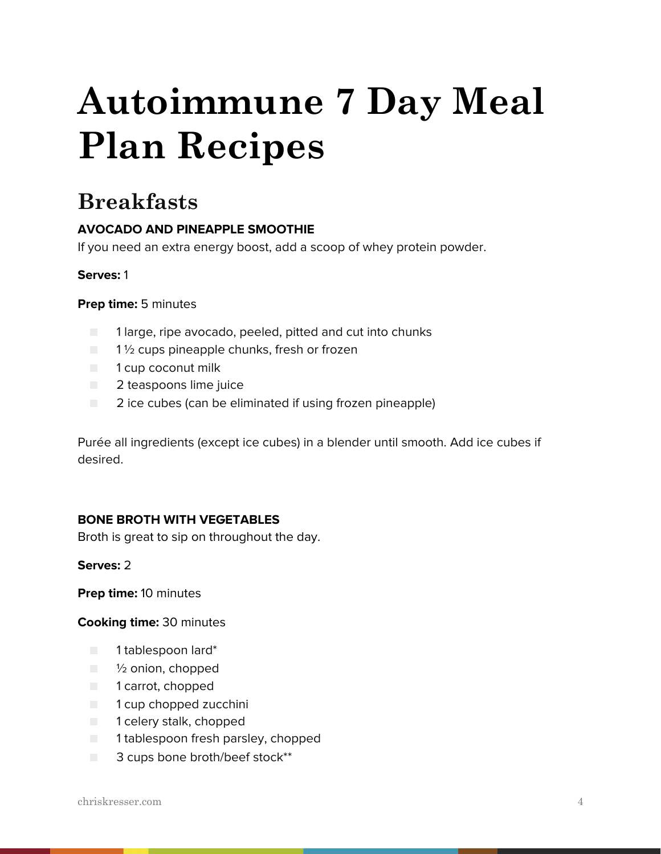# **Autoimmune 7 Day Meal Plan Recipes**

### **Breakfasts**

### **AVOCADO AND PINEAPPLE SMOOTHIE**

If you need an extra energy boost, add a scoop of whey protein powder.

### **Serves:** 1

### **Prep time:** 5 minutes

- 1 large, ripe avocado, peeled, pitted and cut into chunks
- $\Box$  1  $\frac{1}{2}$  cups pineapple chunks, fresh or frozen
- 1 cup coconut milk
- **2** teaspoons lime juice
- 2 ice cubes (can be eliminated if using frozen pineapple)

Purée all ingredients (except ice cubes) in a blender until smooth. Add ice cubes if desired.

### **BONE BROTH WITH VEGETABLES**

Broth is great to sip on throughout the day.

### **Serves:** 2

**Prep time:** 10 minutes

### **Cooking time:** 30 minutes

- 1 tablespoon lard\*
- <sup>1</sup>/<sub>2</sub> onion, chopped
- 1 carrot, chopped
- 1 cup chopped zucchini
- 1 celery stalk, chopped
- 1 tablespoon fresh parsley, chopped
- 3 cups bone broth/beef stock<sup>\*\*</sup>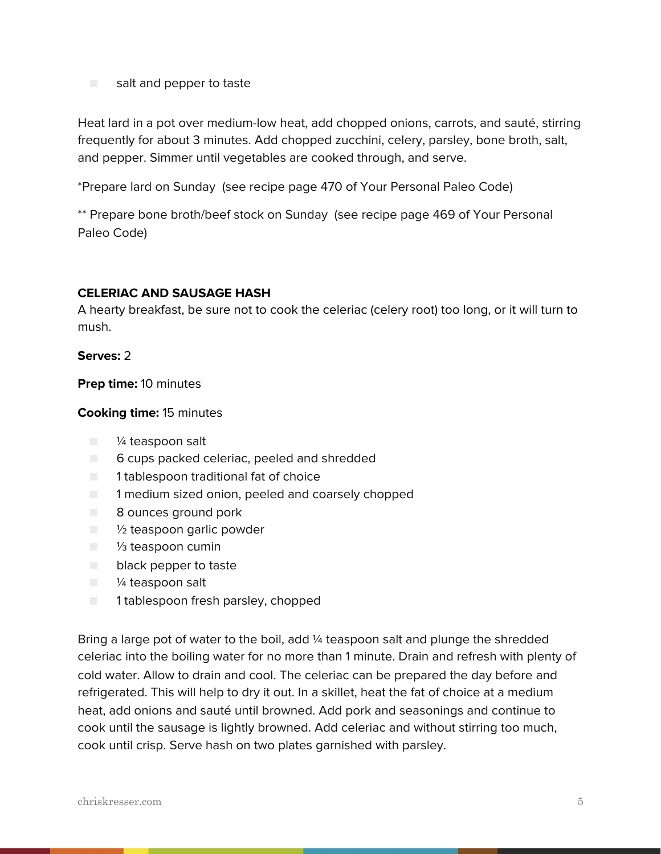■ salt and pepper to taste

Heat lard in a pot over medium-low heat, add chopped onions, carrots, and sauté, stirring frequently for about 3 minutes. Add chopped zucchini, celery, parsley, bone broth, salt, and pepper. Simmer until vegetables are cooked through, and serve.

\*Prepare lard on Sunday (see recipe page 470 of Your Personal Paleo Code)

\*\* Prepare bone broth/beef stock on Sunday (see recipe page 469 of Your Personal Paleo Code)

### **CELERIAC AND SAUSAGE HASH**

A hearty breakfast, be sure not to cook the celeriac (celery root) too long, or it will turn to mush.

### **Serves:** 2

**Prep time:** 10 minutes

### **Cooking time:** 15 minutes

- ¼ teaspoon salt
- 6 cups packed celeriac, peeled and shredded
- 1 tablespoon traditional fat of choice
- $\Box$  1 medium sized onion, peeled and coarsely chopped
- 8 ounces ground pork
- ½ teaspoon garlic powder
- 1/<sub>3</sub> teaspoon cumin
- black pepper to taste
- ¼ teaspoon salt
- 1 tablespoon fresh parsley, chopped

Bring a large pot of water to the boil, add 1/4 teaspoon salt and plunge the shredded celeriac into the boiling water for no more than 1 minute. Drain and refresh with plenty of cold water. Allow to drain and cool. The celeriac can be prepared the day before and refrigerated. This will help to dry it out. In a skillet, heat the fat of choice at a medium heat, add onions and sauté until browned. Add pork and seasonings and continue to cook until the sausage is lightly browned. Add celeriac and without stirring too much, cook until crisp. Serve hash on two plates garnished with parsley.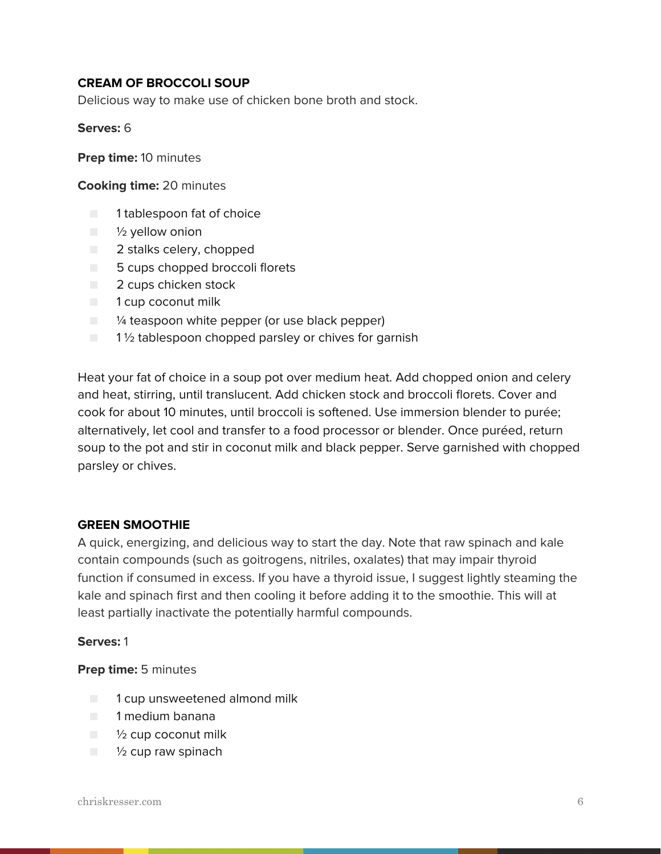### **CREAM OF BROCCOLI SOUP**

Delicious way to make use of chicken bone broth and stock.

#### **Serves:** 6

**Prep time:** 10 minutes

#### **Cooking time:** 20 minutes

- 1 tablespoon fat of choice
- $\blacksquare$   $\frac{1}{2}$  yellow onion
- 2 stalks celery, chopped
- 5 cups chopped broccoli florets
- 2 cups chicken stock
- 1 cup coconut milk
- $\Box$   $\frac{1}{4}$  teaspoon white pepper (or use black pepper)
- $\Box$  1 % tablespoon chopped parsley or chives for garnish

Heat your fat of choice in a soup pot over medium heat. Add chopped onion and celery and heat, stirring, until translucent. Add chicken stock and broccoli florets. Cover and cook for about 10 minutes, until broccoli is softened. Use immersion blender to purée; alternatively, let cool and transfer to a food processor or blender. Once puréed, return soup to the pot and stir in coconut milk and black pepper. Serve garnished with chopped parsley or chives.

### **GREEN SMOOTHIE**

A quick, energizing, and delicious way to start the day. Note that raw spinach and kale contain compounds (such as goitrogens, nitriles, oxalates) that may impair thyroid function if consumed in excess. If you have a thyroid issue, I suggest lightly steaming the kale and spinach first and then cooling it before adding it to the smoothie. This will at least partially inactivate the potentially harmful compounds.

#### **Serves:** 1

### **Prep time:** 5 minutes

- 1 cup unsweetened almond milk
- 1 medium banana
- $\blacksquare$   $\frac{1}{2}$  cup coconut milk
- $\blacksquare$   $\frac{1}{2}$  cup raw spinach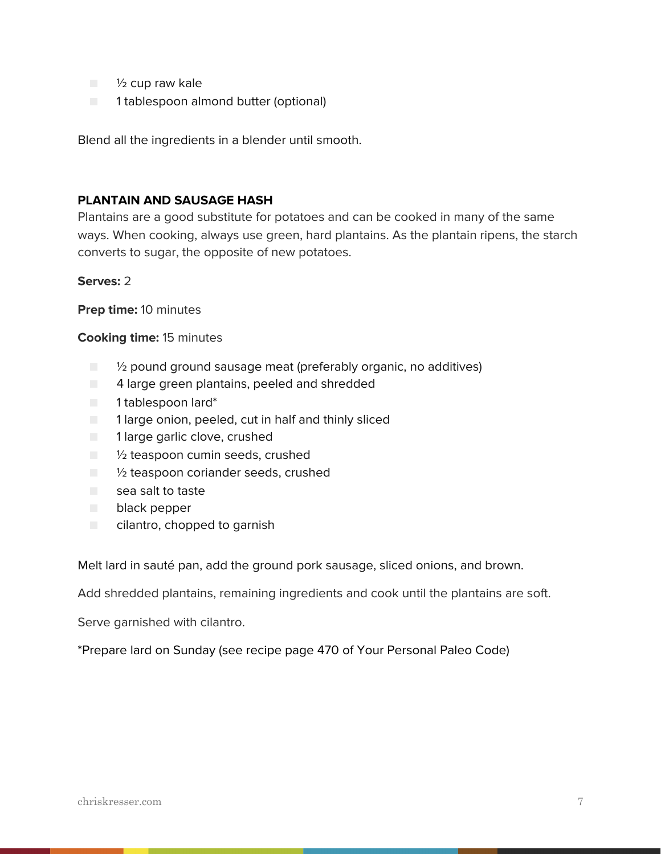- <sup>1</sup>/<sub>2</sub> cup raw kale
- 1 tablespoon almond butter (optional)

Blend all the ingredients in a blender until smooth.

### **PLANTAIN AND SAUSAGE HASH**

Plantains are a good substitute for potatoes and can be cooked in many of the same ways. When cooking, always use green, hard plantains. As the plantain ripens, the starch converts to sugar, the opposite of new potatoes.

### **Serves:** 2

**Prep time:** 10 minutes

### **Cooking time:** 15 minutes

- <sup>1</sup>/<sub>2</sub> pound ground sausage meat (preferably organic, no additives)
- $\Box$  4 large green plantains, peeled and shredded
- 1 tablespoon lard\*
- 1 large onion, peeled, cut in half and thinly sliced
- 1 large garlic clove, crushed
- $\blacksquare$   $\mathcal V_2$  teaspoon cumin seeds, crushed
- <sup>1</sup>/<sub>2</sub> teaspoon coriander seeds, crushed
- sea salt to taste
- black pepper
- cilantro, chopped to garnish

Melt lard in sauté pan, add the ground pork sausage, sliced onions, and brown.

Add shredded plantains, remaining ingredients and cook until the plantains are soft.

Serve garnished with cilantro.

\*Prepare lard on Sunday (see recipe page 470 of Your Personal Paleo Code)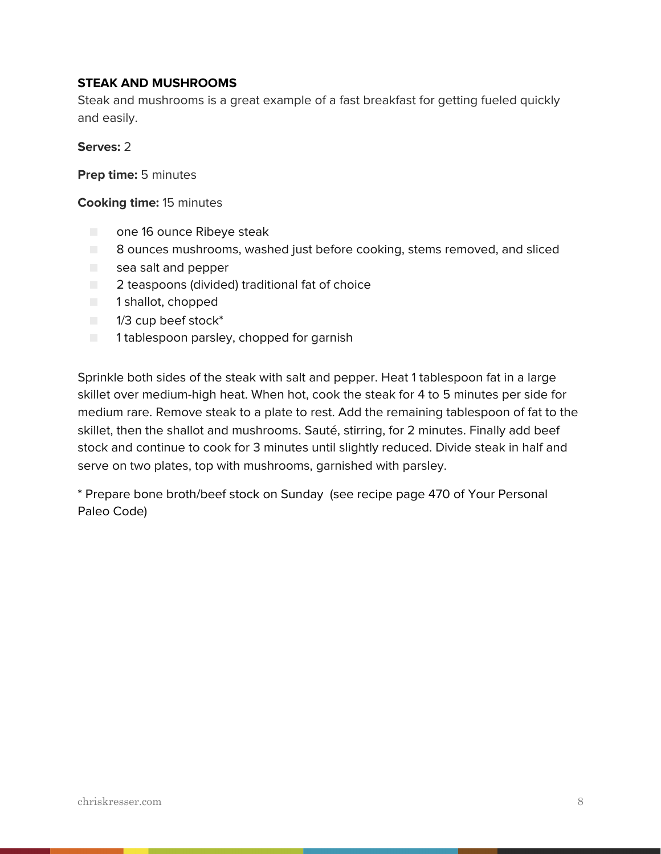### **STEAK AND MUSHROOMS**

Steak and mushrooms is a great example of a fast breakfast for getting fueled quickly and easily.

### **Serves:** 2

**Prep time:** 5 minutes

### **Cooking time:** 15 minutes

- one 16 ounce Ribeye steak
- 8 ounces mushrooms, washed just before cooking, stems removed, and sliced
- sea salt and pepper
- 2 teaspoons (divided) traditional fat of choice
- 1 shallot, chopped
- 1/3 cup beef stock<sup>\*</sup>
- 1 tablespoon parsley, chopped for garnish

Sprinkle both sides of the steak with salt and pepper. Heat 1 tablespoon fat in a large skillet over medium-high heat. When hot, cook the steak for 4 to 5 minutes per side for medium rare. Remove steak to a plate to rest. Add the remaining tablespoon of fat to the skillet, then the shallot and mushrooms. Sauté, stirring, for 2 minutes. Finally add beef stock and continue to cook for 3 minutes until slightly reduced. Divide steak in half and serve on two plates, top with mushrooms, garnished with parsley.

\* Prepare bone broth/beef stock on Sunday (see recipe page 470 of Your Personal Paleo Code)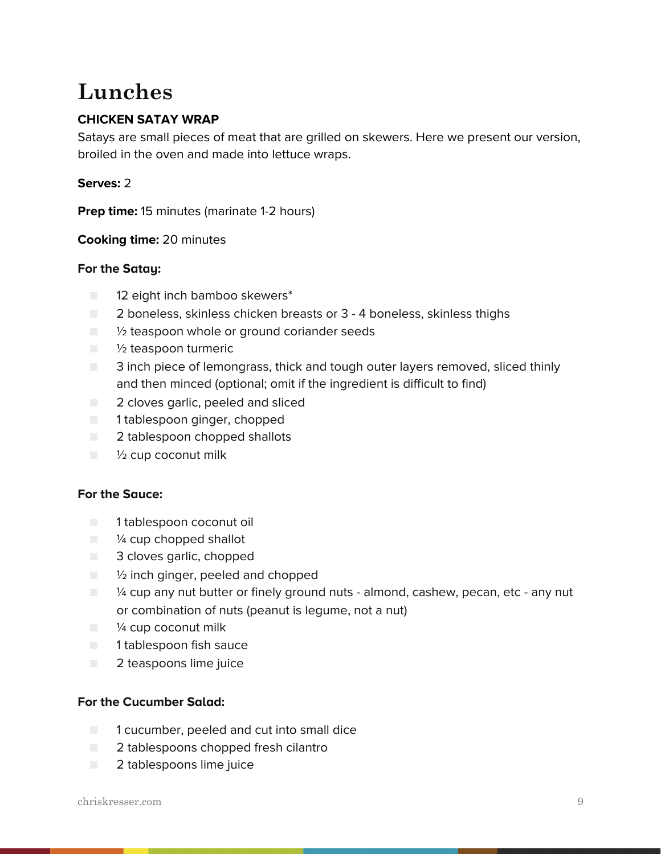### **Lunches**

### **CHICKEN SATAY WRAP**

Satays are small pieces of meat that are grilled on skewers. Here we present our version, broiled in the oven and made into lettuce wraps.

### **Serves:** 2

**Prep time:** 15 minutes (marinate 1-2 hours)

### **Cooking time:** 20 minutes

### **For the Satay:**

- 12 eight inch bamboo skewers\*
- 2 boneless, skinless chicken breasts or 3 4 boneless, skinless thighs
- $\Box$   $\%$  teaspoon whole or ground coriander seeds
- $\blacksquare$   $\frac{1}{2}$  teaspoon turmeric
- 3 inch piece of lemongrass, thick and tough outer layers removed, sliced thinly and then minced (optional; omit if the ingredient is difficult to find)
- 2 cloves garlic, peeled and sliced
- 1 tablespoon ginger, chopped
- 2 tablespoon chopped shallots
- $\blacksquare$   $\frac{1}{2}$  cup coconut milk

### **For the Sauce:**

- 1 tablespoon coconut oil
- $\blacksquare$   $\mathcal V_4$  cup chopped shallot
- 3 cloves garlic, chopped
- $\Box$  % inch ginger, peeled and chopped
- $\blacksquare$  /4 cup any nut butter or finely ground nuts almond, cashew, pecan, etc any nut or combination of nuts (peanut is legume, not a nut)
- $\blacksquare$  /4 cup coconut milk
- 1 tablespoon fish sauce
- 2 teaspoons lime juice

### **For the Cucumber Salad:**

- 1 cucumber, peeled and cut into small dice
- 2 tablespoons chopped fresh cilantro
- 2 tablespoons lime juice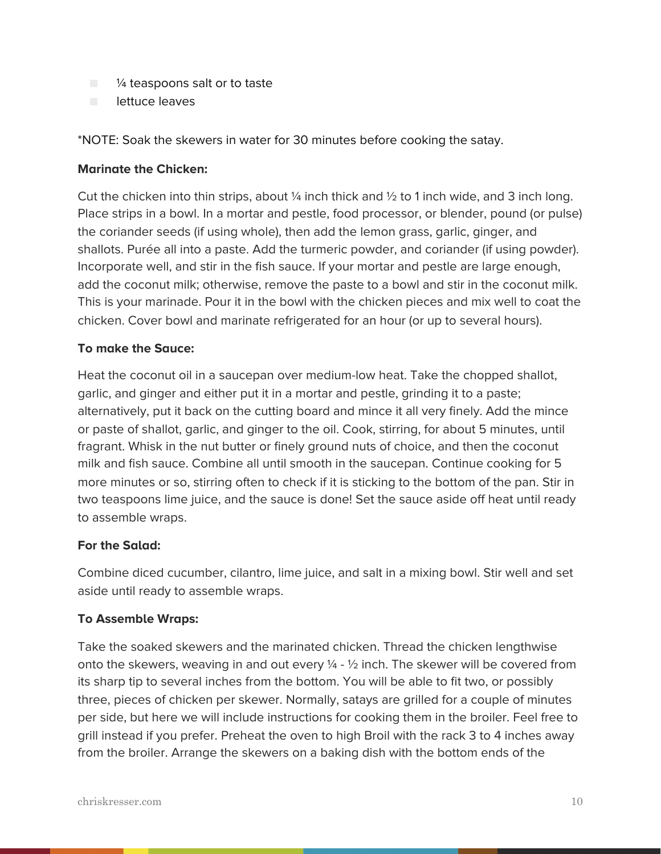- <sup>1/4</sup> teaspoons salt or to taste
- lettuce leaves

### \*NOTE: Soak the skewers in water for 30 minutes before cooking the satay.

### **Marinate the Chicken:**

Cut the chicken into thin strips, about  $\frac{1}{4}$  inch thick and  $\frac{1}{2}$  to 1 inch wide, and 3 inch long. Place strips in a bowl. In a mortar and pestle, food processor, or blender, pound (or pulse) the coriander seeds (if using whole), then add the lemon grass, garlic, ginger, and shallots. Purée all into a paste. Add the turmeric powder, and coriander (if using powder). Incorporate well, and stir in the fish sauce. If your mortar and pestle are large enough, add the coconut milk; otherwise, remove the paste to a bowl and stir in the coconut milk. This is your marinade. Pour it in the bowl with the chicken pieces and mix well to coat the chicken. Cover bowl and marinate refrigerated for an hour (or up to several hours).

### **To make the Sauce:**

Heat the coconut oil in a saucepan over medium-low heat. Take the chopped shallot, garlic, and ginger and either put it in a mortar and pestle, grinding it to a paste; alternatively, put it back on the cutting board and mince it all very finely. Add the mince or paste of shallot, garlic, and ginger to the oil. Cook, stirring, for about 5 minutes, until fragrant. Whisk in the nut butter or finely ground nuts of choice, and then the coconut milk and fish sauce. Combine all until smooth in the saucepan. Continue cooking for 5 more minutes or so, stirring often to check if it is sticking to the bottom of the pan. Stir in two teaspoons lime juice, and the sauce is done! Set the sauce aside off heat until ready to assemble wraps.

### **For the Salad:**

Combine diced cucumber, cilantro, lime juice, and salt in a mixing bowl. Stir well and set aside until ready to assemble wraps.

### **To Assemble Wraps:**

Take the soaked skewers and the marinated chicken. Thread the chicken lengthwise onto the skewers, weaving in and out every  $\frac{1}{4}$  -  $\frac{1}{2}$  inch. The skewer will be covered from its sharp tip to several inches from the bottom. You will be able to fit two, or possibly three, pieces of chicken per skewer. Normally, satays are grilled for a couple of minutes per side, but here we will include instructions for cooking them in the broiler. Feel free to grill instead if you prefer. Preheat the oven to high Broil with the rack 3 to 4 inches away from the broiler. Arrange the skewers on a baking dish with the bottom ends of the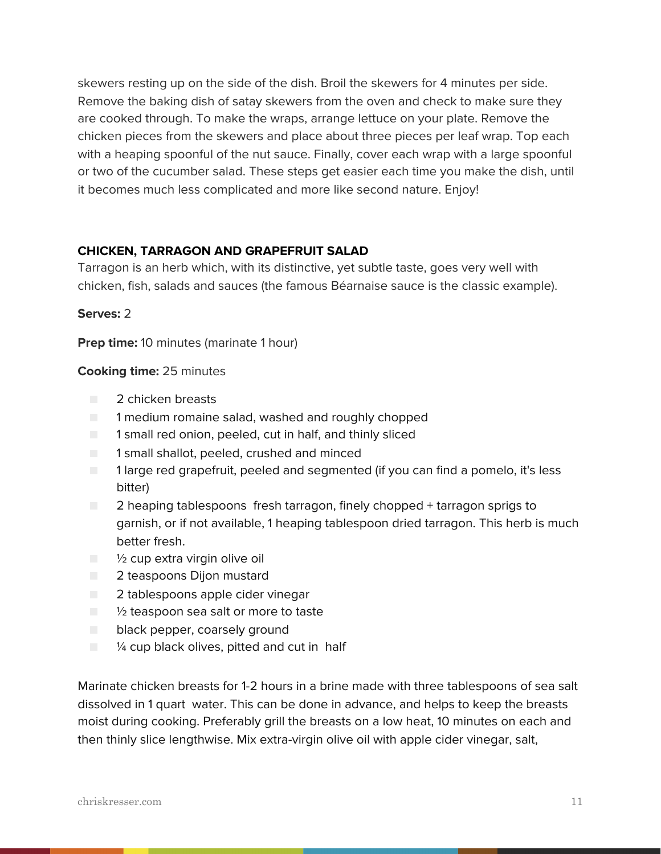skewers resting up on the side of the dish. Broil the skewers for 4 minutes per side. Remove the baking dish of satay skewers from the oven and check to make sure they are cooked through. To make the wraps, arrange lettuce on your plate. Remove the chicken pieces from the skewers and place about three pieces per leaf wrap. Top each with a heaping spoonful of the nut sauce. Finally, cover each wrap with a large spoonful or two of the cucumber salad. These steps get easier each time you make the dish, until it becomes much less complicated and more like second nature. Enjoy!

### **CHICKEN, TARRAGON AND GRAPEFRUIT SALAD**

Tarragon is an herb which, with its distinctive, yet subtle taste, goes very well with chicken, fish, salads and sauces (the famous Béarnaise sauce is the classic example).

### **Serves:** 2

**Prep time:** 10 minutes (marinate 1 hour)

### **Cooking time:** 25 minutes

- 2 chicken breasts
- 1 medium romaine salad, washed and roughly chopped
- 1 small red onion, peeled, cut in half, and thinly sliced
- 1 small shallot, peeled, crushed and minced
- 1 large red grapefruit, peeled and segmented (if you can find a pomelo, it's less bitter)
- 2 heaping tablespoons fresh tarragon, finely chopped + tarragon sprigs to garnish, or if not available, 1 heaping tablespoon dried tarragon. This herb is much better fresh.
- $\blacksquare$   $\frac{1}{2}$  cup extra virgin olive oil
- 2 teaspoons Dijon mustard
- 2 tablespoons apple cider vinegar
- <sup>1</sup>/<sub>2</sub> teaspoon sea salt or more to taste
- black pepper, coarsely ground
- $\blacksquare$   $\blacksquare$   $\blacksquare$   $\blacksquare$   $\blacksquare$   $\blacksquare$   $\blacksquare$   $\blacksquare$   $\blacksquare$   $\blacksquare$   $\blacksquare$   $\blacksquare$   $\blacksquare$   $\blacksquare$   $\blacksquare$   $\blacksquare$   $\blacksquare$   $\blacksquare$   $\blacksquare$   $\blacksquare$   $\blacksquare$   $\blacksquare$   $\blacksquare$   $\blacksquare$   $\blacksquare$   $\blacksquare$   $\blacksquare$   $\blacksquare$   $\blacksquare$   $\blacksquare$   $\blacksquare$   $\blacks$

Marinate chicken breasts for 1-2 hours in a brine made with three tablespoons of sea salt dissolved in 1 quart water. This can be done in advance, and helps to keep the breasts moist during cooking. Preferably grill the breasts on a low heat, 10 minutes on each and then thinly slice lengthwise. Mix extra-virgin olive oil with apple cider vinegar, salt,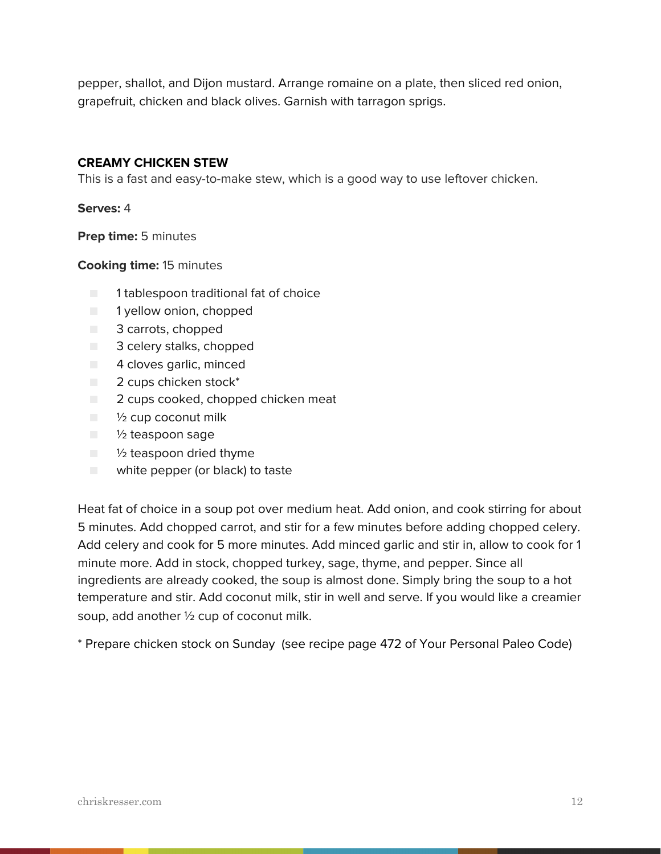pepper, shallot, and Dijon mustard. Arrange romaine on a plate, then sliced red onion, grapefruit, chicken and black olives. Garnish with tarragon sprigs.

### **CREAMY CHICKEN STEW**

This is a fast and easy-to-make stew, which is a good way to use leftover chicken.

**Serves:** 4

**Prep time:** 5 minutes

**Cooking time:** 15 minutes

- 1 tablespoon traditional fat of choice
- 1 yellow onion, chopped
- 3 carrots, chopped
- 3 celery stalks, chopped
- 4 cloves garlic, minced
- 2 cups chicken stock<sup>\*</sup>
- 2 cups cooked, chopped chicken meat
- $\blacksquare$   $\frac{1}{2}$  cup coconut milk
- $\blacksquare$   $\frac{1}{2}$  teaspoon sage
- 1/2 teaspoon dried thyme
- white pepper (or black) to taste

Heat fat of choice in a soup pot over medium heat. Add onion, and cook stirring for about 5 minutes. Add chopped carrot, and stir for a few minutes before adding chopped celery. Add celery and cook for 5 more minutes. Add minced garlic and stir in, allow to cook for 1 minute more. Add in stock, chopped turkey, sage, thyme, and pepper. Since all ingredients are already cooked, the soup is almost done. Simply bring the soup to a hot temperature and stir. Add coconut milk, stir in well and serve. If you would like a creamier soup, add another ½ cup of coconut milk.

\* Prepare chicken stock on Sunday (see recipe page 472 of Your Personal Paleo Code)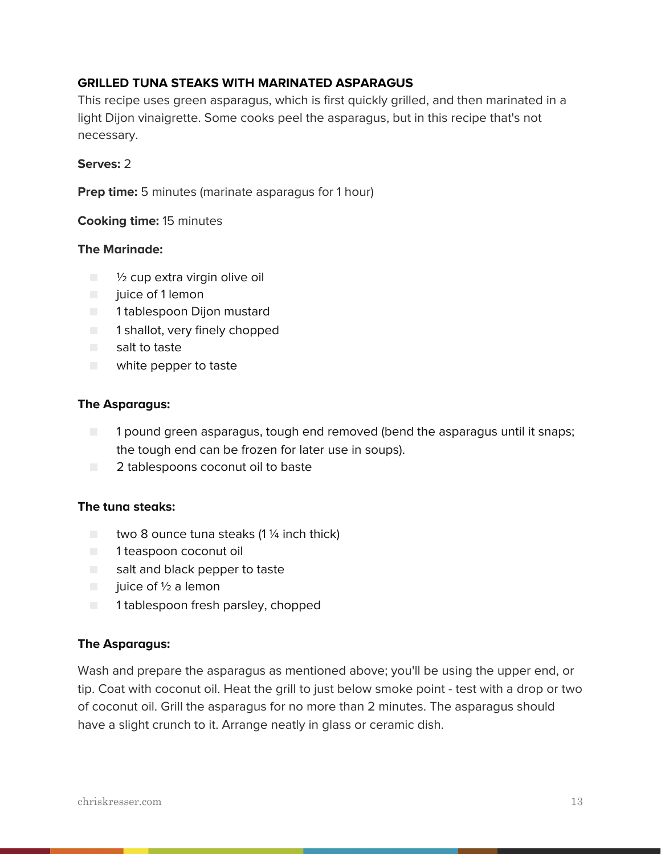### **GRILLED TUNA STEAKS WITH MARINATED ASPARAGUS**

This recipe uses green asparagus, which is first quickly grilled, and then marinated in a light Dijon vinaigrette. Some cooks peel the asparagus, but in this recipe that's not necessary.

### **Serves:** 2

**Prep time:** 5 minutes (marinate asparagus for 1 hour)

### **Cooking time:** 15 minutes

### **The Marinade:**

- $\Box$   $\frac{1}{2}$  cup extra virgin olive oil
- juice of 1 lemon
- 1 tablespoon Dijon mustard
- 1 shallot, very finely chopped
- salt to taste
- white pepper to taste

### **The Asparagus:**

- 1 pound green asparagus, tough end removed (bend the asparagus until it snaps; the tough end can be frozen for later use in soups).
- 2 tablespoons coconut oil to baste

### **The tuna steaks:**

- $\Box$  two 8 ounce tuna steaks (1 1/4 inch thick)
- 1 teaspoon coconut oil
- salt and black pepper to taste
- $\Box$  juice of 1/2 a lemon
- 1 tablespoon fresh parsley, chopped

### **The Asparagus:**

Wash and prepare the asparagus as mentioned above; you'll be using the upper end, or tip. Coat with coconut oil. Heat the grill to just below smoke point - test with a drop or two of coconut oil. Grill the asparagus for no more than 2 minutes. The asparagus should have a slight crunch to it. Arrange neatly in glass or ceramic dish.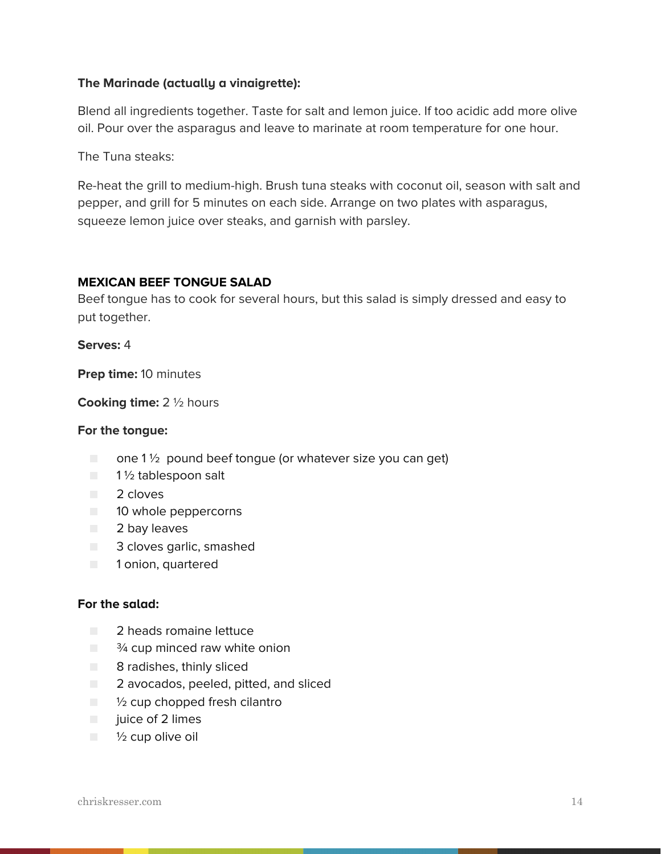### **The Marinade (actually a vinaigrette):**

Blend all ingredients together. Taste for salt and lemon juice. If too acidic add more olive oil. Pour over the asparagus and leave to marinate at room temperature for one hour.

The Tuna steaks:

Re-heat the grill to medium-high. Brush tuna steaks with coconut oil, season with salt and pepper, and grill for 5 minutes on each side. Arrange on two plates with asparagus, squeeze lemon juice over steaks, and garnish with parsley.

### **MEXICAN BEEF TONGUE SALAD**

Beef tongue has to cook for several hours, but this salad is simply dressed and easy to put together.

**Serves:** 4

**Prep time:** 10 minutes

**Cooking time:** 2 ½ hours

#### **For the tongue:**

- $\Box$  one 1  $\frac{1}{2}$  pound beef tongue (or whatever size you can get)
- 1½ tablespoon salt
- 2 cloves
- 10 whole peppercorns
- 2 bay leaves
- 3 cloves garlic, smashed
- 1 onion, quartered

#### **For the salad:**

- 2 heads romaine lettuce
- $\Box$   $\frac{3}{4}$  cup minced raw white onion
- 8 radishes, thinly sliced
- 2 avocados, peeled, pitted, and sliced
- $\blacksquare$   $\mathcal V_2$  cup chopped fresh cilantro
- juice of 2 limes
- $\blacksquare$   $\frac{1}{2}$  cup olive oil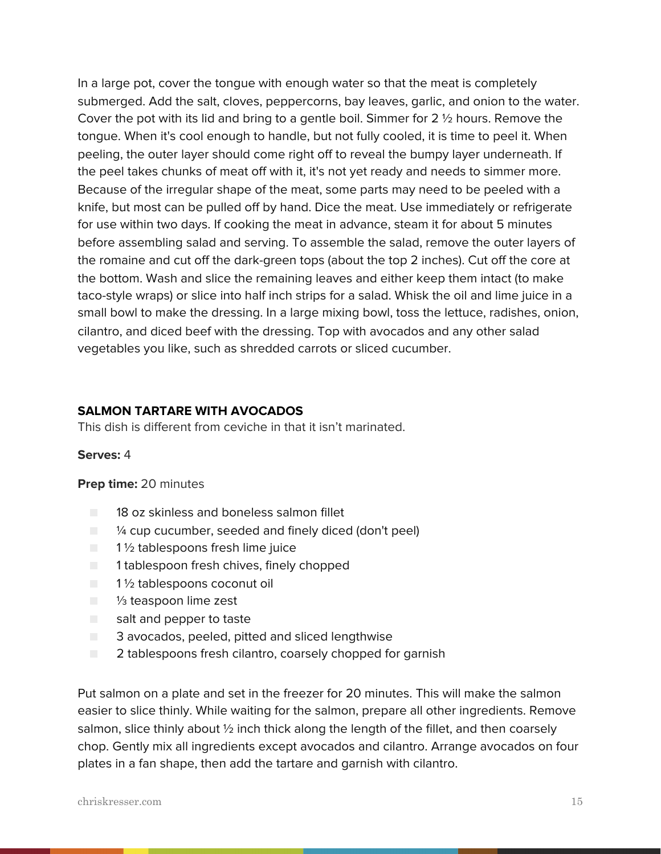In a large pot, cover the tongue with enough water so that the meat is completely submerged. Add the salt, cloves, peppercorns, bay leaves, garlic, and onion to the water. Cover the pot with its lid and bring to a gentle boil. Simmer for 2 ½ hours. Remove the tongue. When it's cool enough to handle, but not fully cooled, it is time to peel it. When peeling, the outer layer should come right off to reveal the bumpy layer underneath. If the peel takes chunks of meat off with it, it's not yet ready and needs to simmer more. Because of the irregular shape of the meat, some parts may need to be peeled with a knife, but most can be pulled off by hand. Dice the meat. Use immediately or refrigerate for use within two days. If cooking the meat in advance, steam it for about 5 minutes before assembling salad and serving. To assemble the salad, remove the outer layers of the romaine and cut off the dark-green tops (about the top 2 inches). Cut off the core at the bottom. Wash and slice the remaining leaves and either keep them intact (to make taco-style wraps) or slice into half inch strips for a salad. Whisk the oil and lime juice in a small bowl to make the dressing. In a large mixing bowl, toss the lettuce, radishes, onion, cilantro, and diced beef with the dressing. Top with avocados and any other salad vegetables you like, such as shredded carrots or sliced cucumber.

### **SALMON TARTARE WITH AVOCADOS**

This dish is different from ceviche in that it isn't marinated.

#### **Serves:** 4

#### **Prep time:** 20 minutes

- 18 oz skinless and boneless salmon fillet
- $\blacksquare$   $\blacksquare$   $\blacksquare$   $\blacksquare$   $\blacksquare$   $\blacksquare$   $\blacksquare$   $\blacksquare$   $\blacksquare$   $\blacksquare$   $\blacksquare$   $\blacksquare$   $\blacksquare$   $\blacksquare$   $\blacksquare$   $\blacksquare$   $\blacksquare$   $\blacksquare$   $\blacksquare$   $\blacksquare$   $\blacksquare$   $\blacksquare$   $\blacksquare$   $\blacksquare$   $\blacksquare$   $\blacksquare$   $\blacksquare$   $\blacksquare$   $\blacksquare$   $\blacksquare$   $\blacksquare$   $\blacks$
- $\Box$  1  $\frac{1}{2}$  tablespoons fresh lime juice
- 1 tablespoon fresh chives, finely chopped
- 1½ tablespoons coconut oil
- 1/<sub>3</sub> teaspoon lime zest
- salt and pepper to taste
- 3 avocados, peeled, pitted and sliced lengthwise
- 2 tablespoons fresh cilantro, coarsely chopped for garnish

Put salmon on a plate and set in the freezer for 20 minutes. This will make the salmon easier to slice thinly. While waiting for the salmon, prepare all other ingredients. Remove salmon, slice thinly about 1/2 inch thick along the length of the fillet, and then coarsely chop. Gently mix all ingredients except avocados and cilantro. Arrange avocados on four plates in a fan shape, then add the tartare and garnish with cilantro.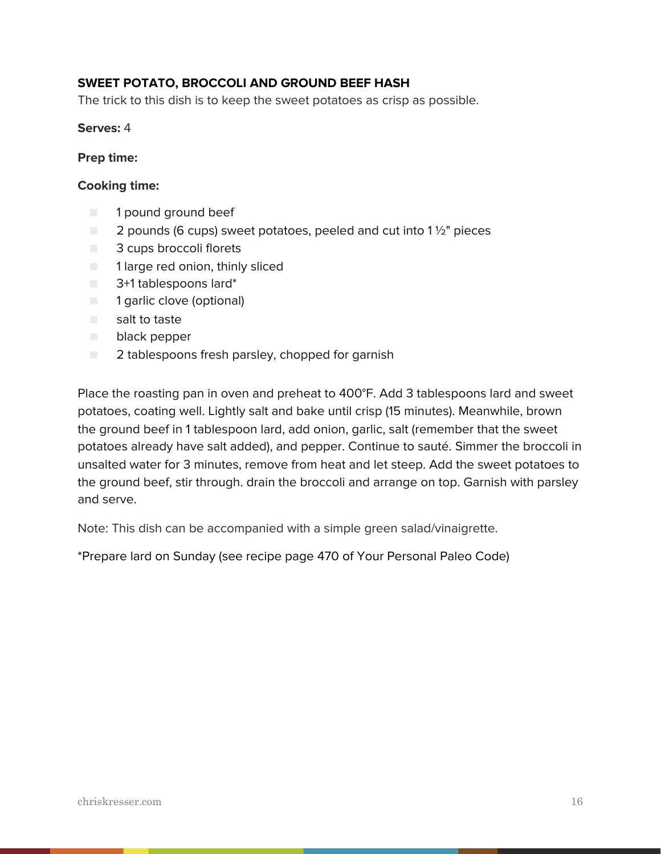### **SWEET POTATO, BROCCOLI AND GROUND BEEF HASH**

The trick to this dish is to keep the sweet potatoes as crisp as possible.

**Serves:** 4

#### **Prep time:**

#### **Cooking time:**

- 1 pound ground beef
- $\Box$  2 pounds (6 cups) sweet potatoes, peeled and cut into 1  $\frac{1}{2}$ " pieces
- 3 cups broccoli florets
- 1 large red onion, thinly sliced
- 3+1 tablespoons lard\*
- 1 garlic clove (optional)
- salt to taste
- black pepper
- 2 tablespoons fresh parsley, chopped for garnish

Place the roasting pan in oven and preheat to 400°F. Add 3 tablespoons lard and sweet potatoes, coating well. Lightly salt and bake until crisp (15 minutes). Meanwhile, brown the ground beef in 1 tablespoon lard, add onion, garlic, salt (remember that the sweet potatoes already have salt added), and pepper. Continue to sauté. Simmer the broccoli in unsalted water for 3 minutes, remove from heat and let steep. Add the sweet potatoes to the ground beef, stir through. drain the broccoli and arrange on top. Garnish with parsley and serve.

Note: This dish can be accompanied with a simple green salad/vinaigrette.

\*Prepare lard on Sunday (see recipe page 470 of Your Personal Paleo Code)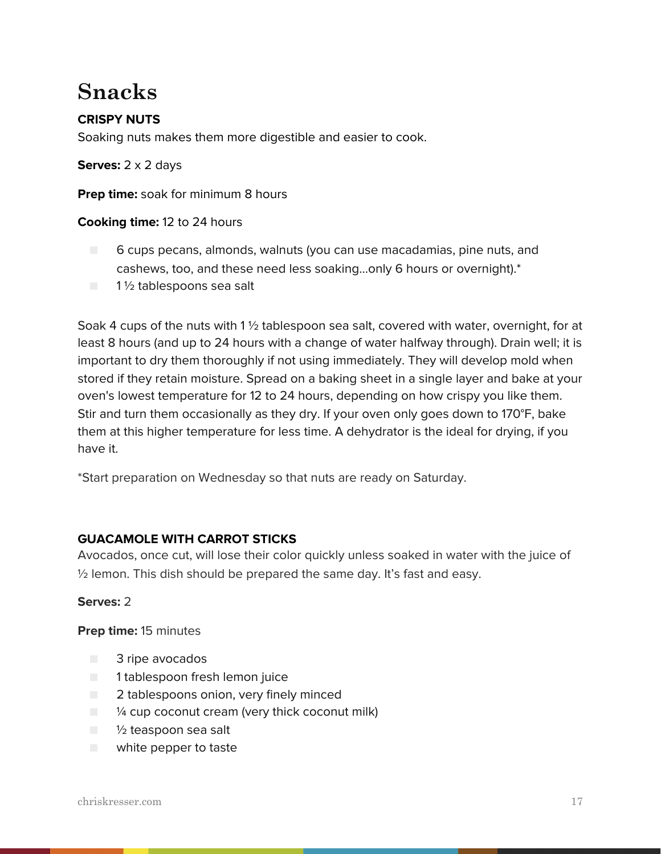### **Snacks**

### **CRISPY NUTS**

Soaking nuts makes them more digestible and easier to cook.

**Serves:** 2 x 2 days

**Prep time:** soak for minimum 8 hours

### **Cooking time:** 12 to 24 hours

- 6 cups pecans, almonds, walnuts (you can use macadamias, pine nuts, and cashews, too, and these need less soaking...only 6 hours or overnight).\*
- 1½ tablespoons sea salt

Soak 4 cups of the nuts with 1 ½ tablespoon sea salt, covered with water, overnight, for at least 8 hours (and up to 24 hours with a change of water halfway through). Drain well; it is important to dry them thoroughly if not using immediately. They will develop mold when stored if they retain moisture. Spread on a baking sheet in a single layer and bake at your oven's lowest temperature for 12 to 24 hours, depending on how crispy you like them. Stir and turn them occasionally as they dry. If your oven only goes down to 170°F, bake them at this higher temperature for less time. A dehydrator is the ideal for drying, if you have it.

\*Start preparation on Wednesday so that nuts are ready on Saturday.

### **GUACAMOLE WITH CARROT STICKS**

Avocados, once cut, will lose their color quickly unless soaked in water with the juice of ½ lemon. This dish should be prepared the same day. It's fast and easy.

### **Serves:** 2

**Prep time:** 15 minutes

- 3 ripe avocados
- 1 tablespoon fresh lemon juice
- 2 tablespoons onion, very finely minced
- $\blacksquare$  /4 cup coconut cream (very thick coconut milk)
- 1/2 teaspoon sea salt
- white pepper to taste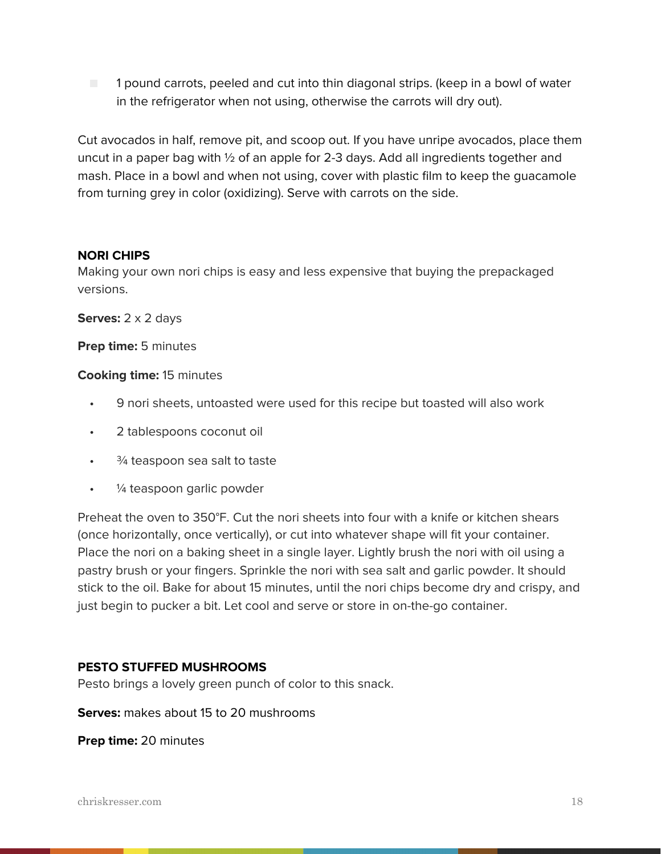■ 1 pound carrots, peeled and cut into thin diagonal strips. (keep in a bowl of water in the refrigerator when not using, otherwise the carrots will dry out).

Cut avocados in half, remove pit, and scoop out. If you have unripe avocados, place them uncut in a paper bag with ½ of an apple for 2-3 days. Add all ingredients together and mash. Place in a bowl and when not using, cover with plastic film to keep the guacamole from turning grey in color (oxidizing). Serve with carrots on the side.

### **NORI CHIPS**

Making your own nori chips is easy and less expensive that buying the prepackaged versions.

**Serves:** 2 x 2 days

**Prep time:** 5 minutes

### **Cooking time:** 15 minutes

- 9 nori sheets, untoasted were used for this recipe but toasted will also work
- 2 tablespoons coconut oil
- $\cdot$   $\frac{3}{4}$  teaspoon sea salt to taste
- ¼ teaspoon garlic powder

Preheat the oven to 350°F. Cut the nori sheets into four with a knife or kitchen shears (once horizontally, once vertically), or cut into whatever shape will fit your container. Place the nori on a baking sheet in a single layer. Lightly brush the nori with oil using a pastry brush or your fingers. Sprinkle the nori with sea salt and garlic powder. It should stick to the oil. Bake for about 15 minutes, until the nori chips become dry and crispy, and just begin to pucker a bit. Let cool and serve or store in on-the-go container.

### **PESTO STUFFED MUSHROOMS**

Pesto brings a lovely green punch of color to this snack.

**Serves:** makes about 15 to 20 mushrooms

**Prep time:** 20 minutes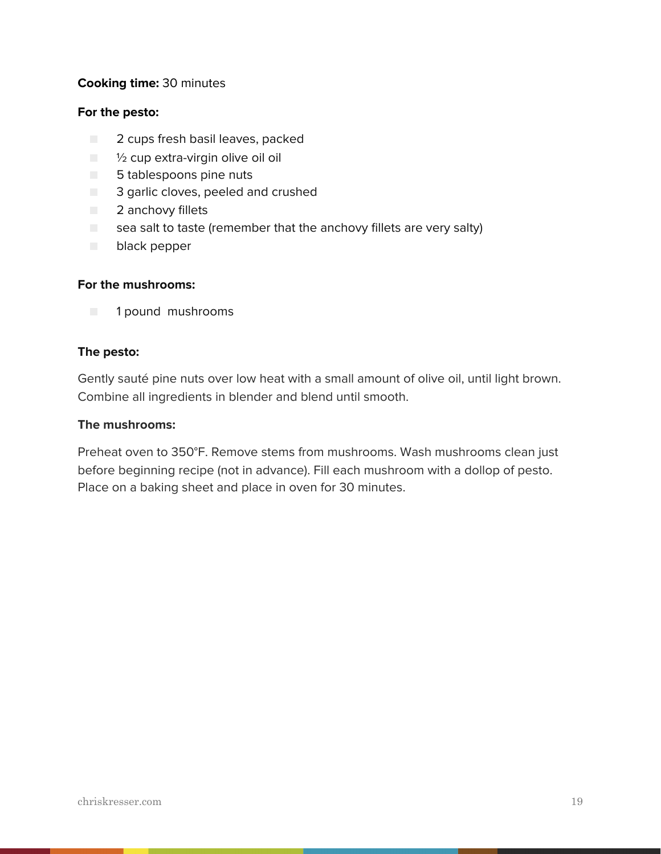### **Cooking time:** 30 minutes

#### **For the pesto:**

- 2 cups fresh basil leaves, packed
- $\Box$   $\frac{1}{2}$  cup extra-virgin olive oil oil
- 5 tablespoons pine nuts
- **3** garlic cloves, peeled and crushed
- 2 anchovy fillets
- $\Box$  sea salt to taste (remember that the anchovy fillets are very salty)
- black pepper

### **For the mushrooms:**

■ 1 pound mushrooms

### **The pesto:**

Gently sauté pine nuts over low heat with a small amount of olive oil, until light brown. Combine all ingredients in blender and blend until smooth.

### **The mushrooms:**

Preheat oven to 350°F. Remove stems from mushrooms. Wash mushrooms clean just before beginning recipe (not in advance). Fill each mushroom with a dollop of pesto. Place on a baking sheet and place in oven for 30 minutes.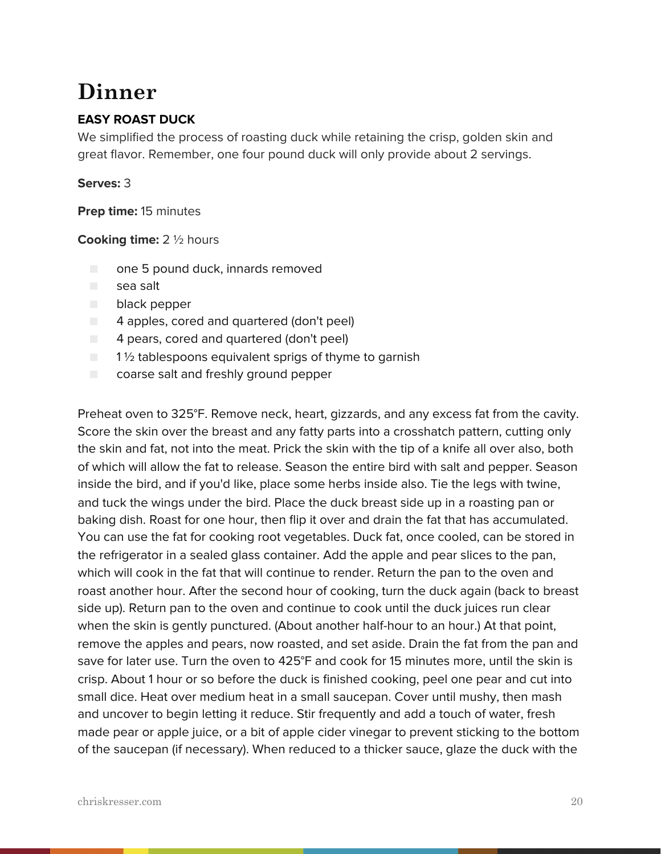### **Dinner**

### **EASY ROAST DUCK**

We simplified the process of roasting duck while retaining the crisp, golden skin and great flavor. Remember, one four pound duck will only provide about 2 servings.

### **Serves:** 3

**Prep time:** 15 minutes

### **Cooking time:** 2 ½ hours

- one 5 pound duck, innards removed
- sea salt
- black pepper
- 4 apples, cored and quartered (don't peel)
- 4 pears, cored and quartered (don't peel)
- $\Box$  1% tablespoons equivalent sprigs of thyme to garnish
- coarse salt and freshly ground pepper

Preheat oven to 325°F. Remove neck, heart, gizzards, and any excess fat from the cavity. Score the skin over the breast and any fatty parts into a crosshatch pattern, cutting only the skin and fat, not into the meat. Prick the skin with the tip of a knife all over also, both of which will allow the fat to release. Season the entire bird with salt and pepper. Season inside the bird, and if you'd like, place some herbs inside also. Tie the legs with twine, and tuck the wings under the bird. Place the duck breast side up in a roasting pan or baking dish. Roast for one hour, then flip it over and drain the fat that has accumulated. You can use the fat for cooking root vegetables. Duck fat, once cooled, can be stored in the refrigerator in a sealed glass container. Add the apple and pear slices to the pan, which will cook in the fat that will continue to render. Return the pan to the oven and roast another hour. After the second hour of cooking, turn the duck again (back to breast side up). Return pan to the oven and continue to cook until the duck juices run clear when the skin is gently punctured. (About another half-hour to an hour.) At that point, remove the apples and pears, now roasted, and set aside. Drain the fat from the pan and save for later use. Turn the oven to 425°F and cook for 15 minutes more, until the skin is crisp. About 1 hour or so before the duck is finished cooking, peel one pear and cut into small dice. Heat over medium heat in a small saucepan. Cover until mushy, then mash and uncover to begin letting it reduce. Stir frequently and add a touch of water, fresh made pear or apple juice, or a bit of apple cider vinegar to prevent sticking to the bottom of the saucepan (if necessary). When reduced to a thicker sauce, glaze the duck with the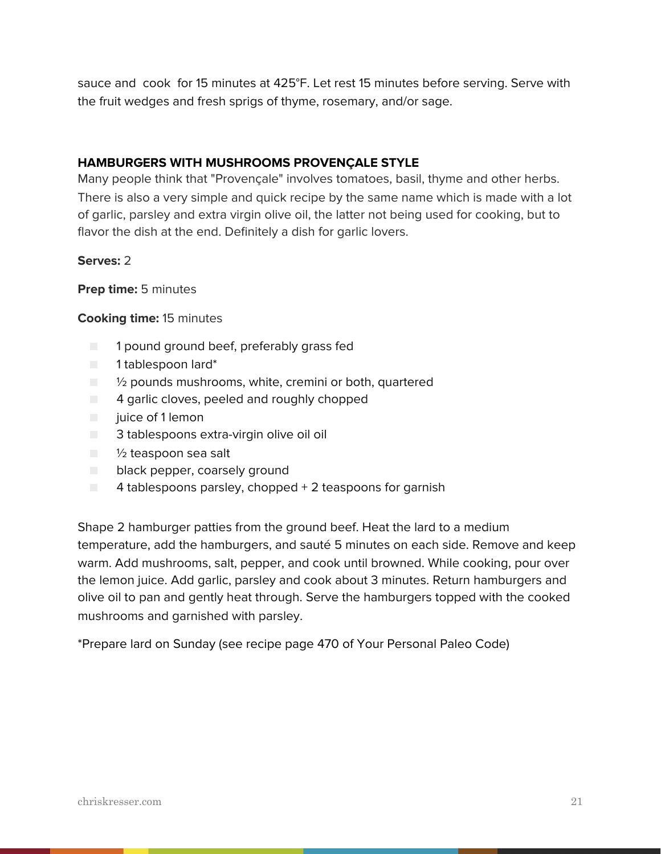sauce and cook for 15 minutes at 425°F. Let rest 15 minutes before serving. Serve with the fruit wedges and fresh sprigs of thyme, rosemary, and/or sage.

### **HAMBURGERS WITH MUSHROOMS PROVENÇALE STYLE**

Many people think that "Provençale" involves tomatoes, basil, thyme and other herbs. There is also a very simple and quick recipe by the same name which is made with a lot of garlic, parsley and extra virgin olive oil, the latter not being used for cooking, but to flavor the dish at the end. Definitely a dish for garlic lovers.

### **Serves:** 2

### **Prep time:** 5 minutes

### **Cooking time:** 15 minutes

- 1 pound ground beef, preferably grass fed
- 1 tablespoon lard\*
- ½ pounds mushrooms, white, cremini or both, quartered
- 4 garlic cloves, peeled and roughly chopped
- juice of 1 lemon
- 3 tablespoons extra-virgin olive oil oil
- 1/2 teaspoon sea salt
- black pepper, coarsely ground
- 4 tablespoons parsley, chopped + 2 teaspoons for garnish

Shape 2 hamburger patties from the ground beef. Heat the lard to a medium temperature, add the hamburgers, and sauté 5 minutes on each side. Remove and keep warm. Add mushrooms, salt, pepper, and cook until browned. While cooking, pour over the lemon juice. Add garlic, parsley and cook about 3 minutes. Return hamburgers and olive oil to pan and gently heat through. Serve the hamburgers topped with the cooked mushrooms and garnished with parsley.

\*Prepare lard on Sunday (see recipe page 470 of Your Personal Paleo Code)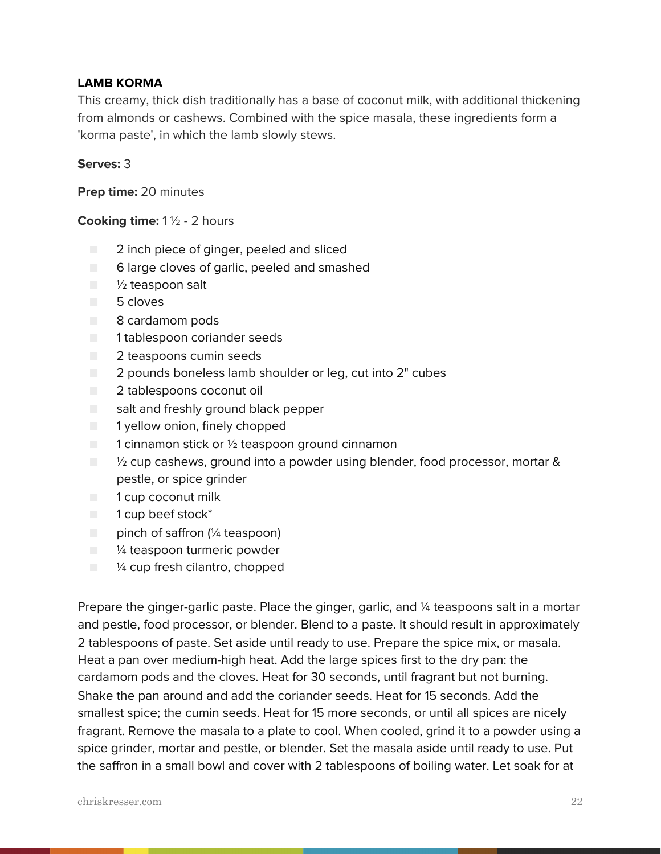### **LAMB KORMA**

This creamy, thick dish traditionally has a base of coconut milk, with additional thickening from almonds or cashews. Combined with the spice masala, these ingredients form a 'korma paste', in which the lamb slowly stews.

### **Serves:** 3

**Prep time:** 20 minutes

#### **Cooking time:** 1 ½ - 2 hours

- 2 inch piece of ginger, peeled and sliced
- 6 large cloves of garlic, peeled and smashed
- 1/2 teaspoon salt
- 5 cloves
- 8 cardamom pods
- 1 tablespoon coriander seeds
- 2 teaspoons cumin seeds
- 2 pounds boneless lamb shoulder or leg, cut into 2" cubes
- 2 tablespoons coconut oil
- salt and freshly ground black pepper
- 1 yellow onion, finely chopped
- $\Box$  1 cinnamon stick or  $\frac{1}{2}$  teaspoon ground cinnamon
- ½ cup cashews, ground into a powder using blender, food processor, mortar & pestle, or spice grinder
- 1 cup coconut milk
- 1 cup beef stock<sup>\*</sup>
- pinch of saffron (¼ teaspoon)
- $\Box$  % teaspoon turmeric powder
- <sup>1/4</sup> cup fresh cilantro, chopped

Prepare the ginger-garlic paste. Place the ginger, garlic, and 1/4 teaspoons salt in a mortar and pestle, food processor, or blender. Blend to a paste. It should result in approximately 2 tablespoons of paste. Set aside until ready to use. Prepare the spice mix, or masala. Heat a pan over medium-high heat. Add the large spices first to the dry pan: the cardamom pods and the cloves. Heat for 30 seconds, until fragrant but not burning. Shake the pan around and add the coriander seeds. Heat for 15 seconds. Add the smallest spice; the cumin seeds. Heat for 15 more seconds, or until all spices are nicely fragrant. Remove the masala to a plate to cool. When cooled, grind it to a powder using a spice grinder, mortar and pestle, or blender. Set the masala aside until ready to use. Put the saffron in a small bowl and cover with 2 tablespoons of boiling water. Let soak for at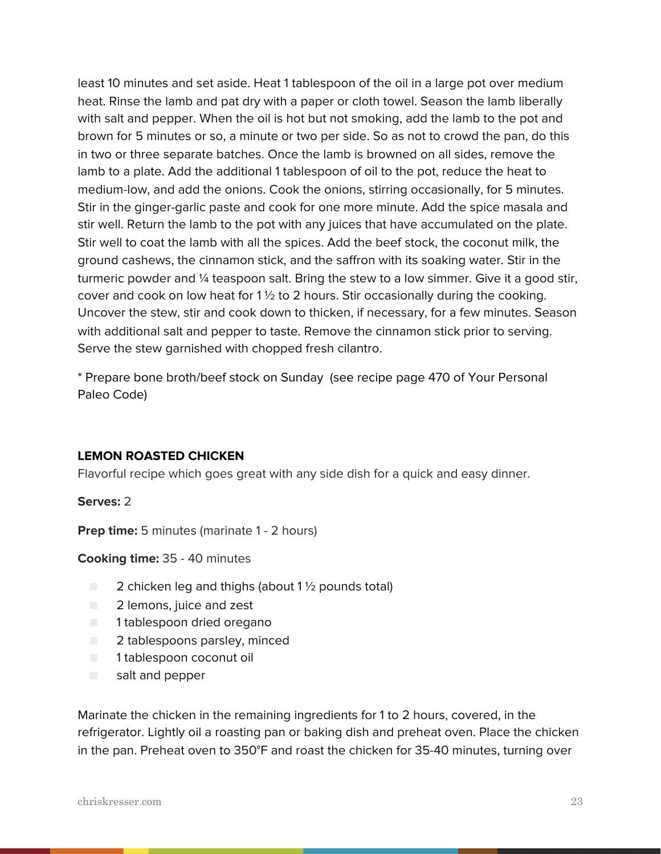least 10 minutes and set aside. Heat 1 tablespoon of the oil in a large pot over medium heat. Rinse the lamb and pat dry with a paper or cloth towel. Season the lamb liberally with salt and pepper. When the oil is hot but not smoking, add the lamb to the pot and brown for 5 minutes or so, a minute or two per side. So as not to crowd the pan, do this in two or three separate batches. Once the lamb is browned on all sides, remove the lamb to a plate. Add the additional 1 tablespoon of oil to the pot, reduce the heat to medium-low, and add the onions. Cook the onions, stirring occasionally, for 5 minutes. Stir in the ginger-garlic paste and cook for one more minute. Add the spice masala and stir well. Return the lamb to the pot with any juices that have accumulated on the plate. Stir well to coat the lamb with all the spices. Add the beef stock, the coconut milk, the ground cashews, the cinnamon stick, and the saffron with its soaking water. Stir in the turmeric powder and ¼ teaspoon salt. Bring the stew to a low simmer. Give it a good stir, cover and cook on low heat for  $1\frac{1}{2}$  to 2 hours. Stir occasionally during the cooking. Uncover the stew, stir and cook down to thicken, if necessary, for a few minutes. Season with additional salt and pepper to taste. Remove the cinnamon stick prior to serving. Serve the stew garnished with chopped fresh cilantro.

\* Prepare bone broth/beef stock on Sunday (see recipe page 470 of Your Personal Paleo Code)

### **LEMON ROASTED CHICKEN**

Flavorful recipe which goes great with any side dish for a quick and easy dinner.

**Serves:** 2

**Prep time:** 5 minutes (marinate 1 - 2 hours)

**Cooking time:** 35 - 40 minutes

- $\Box$  2 chicken leg and thighs (about 1  $\frac{1}{2}$  pounds total)
- 2 lemons, juice and zest
- 1 tablespoon dried oregano
- 2 tablespoons parsley, minced
- 1 tablespoon coconut oil
- salt and pepper

Marinate the chicken in the remaining ingredients for 1 to 2 hours, covered, in the refrigerator. Lightly oil a roasting pan or baking dish and preheat oven. Place the chicken in the pan. Preheat oven to 350°F and roast the chicken for 35-40 minutes, turning over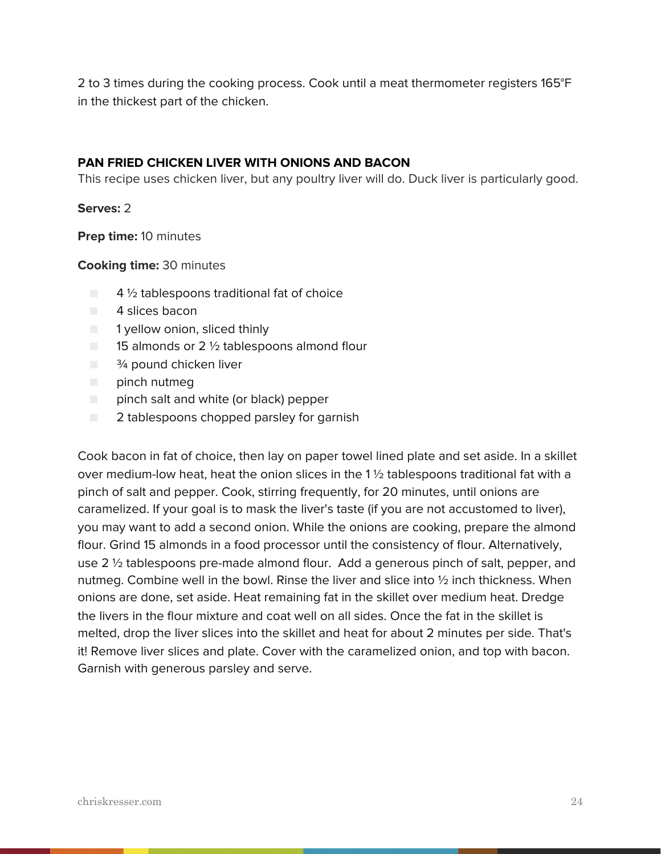2 to 3 times during the cooking process. Cook until a meat thermometer registers 165°F in the thickest part of the chicken.

### **PAN FRIED CHICKEN LIVER WITH ONIONS AND BACON**

This recipe uses chicken liver, but any poultry liver will do. Duck liver is particularly good.

### **Serves:** 2

**Prep time:** 10 minutes

**Cooking time:** 30 minutes

- $\Box$  4  $\frac{1}{2}$  tablespoons traditional fat of choice
- 4 slices bacon
- 1 yellow onion, sliced thinly
- $\Box$  15 almonds or 2  $\frac{1}{2}$  tablespoons almond flour
- $\blacksquare$   $\frac{3}{4}$  pound chicken liver
- pinch nutmeg
- pinch salt and white (or black) pepper
- 2 tablespoons chopped parsley for garnish

Cook bacon in fat of choice, then lay on paper towel lined plate and set aside. In a skillet over medium-low heat, heat the onion slices in the 1 ½ tablespoons traditional fat with a pinch of salt and pepper. Cook, stirring frequently, for 20 minutes, until onions are caramelized. If your goal is to mask the liver's taste (if you are not accustomed to liver), you may want to add a second onion. While the onions are cooking, prepare the almond flour. Grind 15 almonds in a food processor until the consistency of flour. Alternatively, use 2 ½ tablespoons pre-made almond flour. Add a generous pinch of salt, pepper, and nutmeg. Combine well in the bowl. Rinse the liver and slice into ½ inch thickness. When onions are done, set aside. Heat remaining fat in the skillet over medium heat. Dredge the livers in the flour mixture and coat well on all sides. Once the fat in the skillet is melted, drop the liver slices into the skillet and heat for about 2 minutes per side. That's it! Remove liver slices and plate. Cover with the caramelized onion, and top with bacon. Garnish with generous parsley and serve.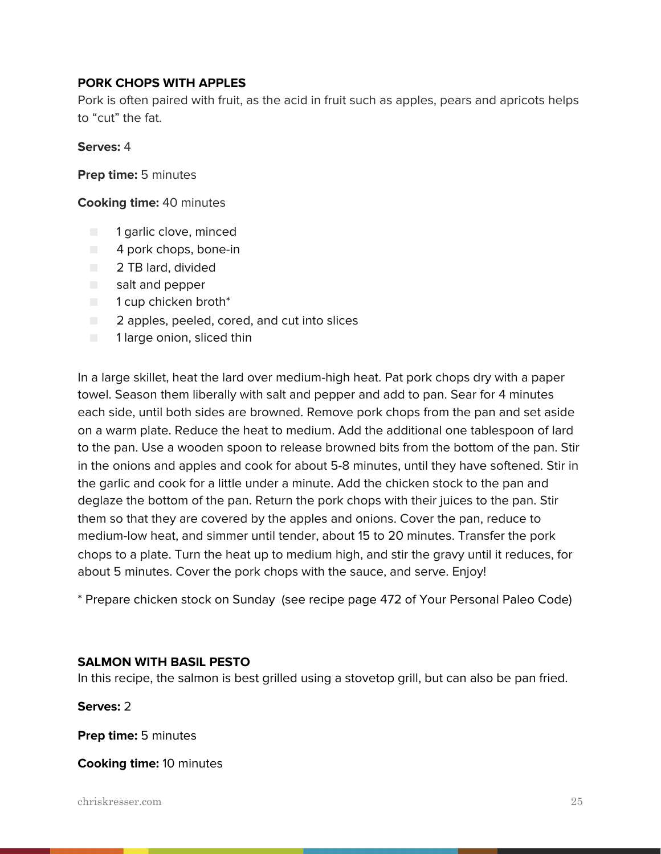### **PORK CHOPS WITH APPLES**

Pork is often paired with fruit, as the acid in fruit such as apples, pears and apricots helps to "cut" the fat.

### **Serves:** 4

**Prep time:** 5 minutes

**Cooking time:** 40 minutes

- 1 garlic clove, minced
- 4 pork chops, bone-in
- 2 TB lard, divided
- salt and pepper
- 1 cup chicken broth<sup>\*</sup>
- 2 apples, peeled, cored, and cut into slices
- 1 large onion, sliced thin

In a large skillet, heat the lard over medium-high heat. Pat pork chops dry with a paper towel. Season them liberally with salt and pepper and add to pan. Sear for 4 minutes each side, until both sides are browned. Remove pork chops from the pan and set aside on a warm plate. Reduce the heat to medium. Add the additional one tablespoon of lard to the pan. Use a wooden spoon to release browned bits from the bottom of the pan. Stir in the onions and apples and cook for about 5-8 minutes, until they have softened. Stir in the garlic and cook for a little under a minute. Add the chicken stock to the pan and deglaze the bottom of the pan. Return the pork chops with their juices to the pan. Stir them so that they are covered by the apples and onions. Cover the pan, reduce to medium-low heat, and simmer until tender, about 15 to 20 minutes. Transfer the pork chops to a plate. Turn the heat up to medium high, and stir the gravy until it reduces, for about 5 minutes. Cover the pork chops with the sauce, and serve. Enjoy!

\* Prepare chicken stock on Sunday (see recipe page 472 of Your Personal Paleo Code)

### **SALMON WITH BASIL PESTO**

In this recipe, the salmon is best grilled using a stovetop grill, but can also be pan fried.

**Serves:** 2

**Prep time:** 5 minutes

**Cooking time:** 10 minutes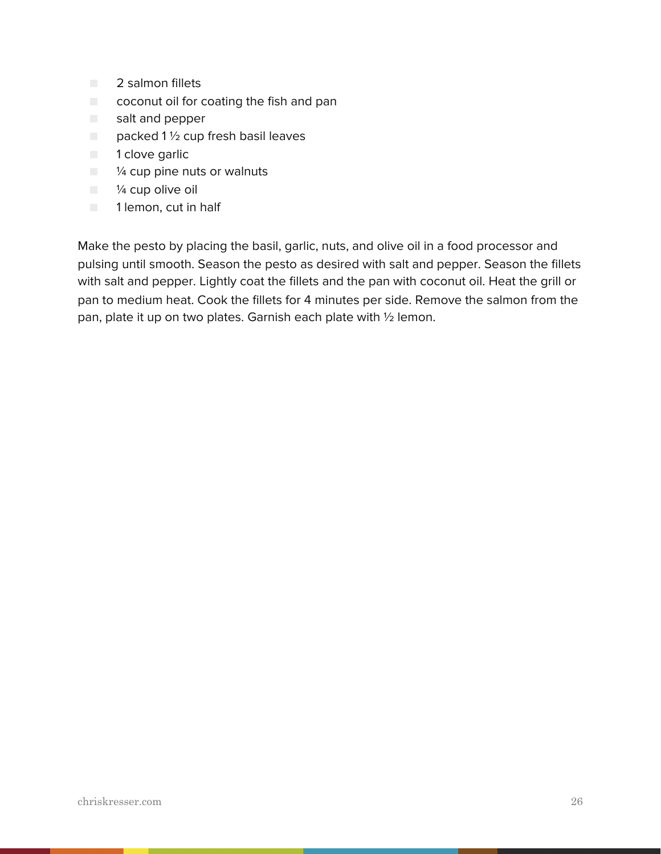- 2 salmon fillets
- coconut oil for coating the fish and pan
- salt and pepper
- $\Box$  packed 1 1/2 cup fresh basil leaves
- 1 clove garlic
- <sup>1⁄4</sup> cup pine nuts or walnuts
- ¼ cup olive oil
- **1** 1 lemon, cut in half

Make the pesto by placing the basil, garlic, nuts, and olive oil in a food processor and pulsing until smooth. Season the pesto as desired with salt and pepper. Season the fillets with salt and pepper. Lightly coat the fillets and the pan with coconut oil. Heat the grill or pan to medium heat. Cook the fillets for 4 minutes per side. Remove the salmon from the pan, plate it up on two plates. Garnish each plate with ½ lemon.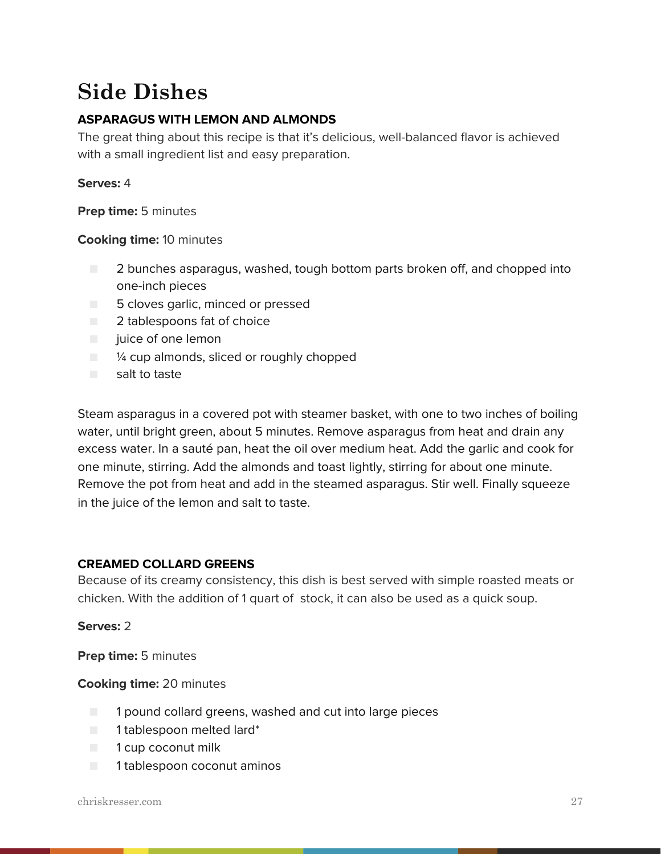### **Side Dishes**

### **ASPARAGUS WITH LEMON AND ALMONDS**

The great thing about this recipe is that it's delicious, well-balanced flavor is achieved with a small ingredient list and easy preparation.

### **Serves:** 4

**Prep time:** 5 minutes

### **Cooking time:** 10 minutes

- 2 bunches asparagus, washed, tough bottom parts broken off, and chopped into one-inch pieces
- 5 cloves garlic, minced or pressed
- 2 tablespoons fat of choice
- juice of one lemon
- $\Box$   $\frac{1}{4}$  cup almonds, sliced or roughly chopped
- salt to taste

Steam asparagus in a covered pot with steamer basket, with one to two inches of boiling water, until bright green, about 5 minutes. Remove asparagus from heat and drain any excess water. In a sauté pan, heat the oil over medium heat. Add the garlic and cook for one minute, stirring. Add the almonds and toast lightly, stirring for about one minute. Remove the pot from heat and add in the steamed asparagus. Stir well. Finally squeeze in the juice of the lemon and salt to taste.

### **CREAMED COLLARD GREENS**

Because of its creamy consistency, this dish is best served with simple roasted meats or chicken. With the addition of 1 quart of stock, it can also be used as a quick soup.

### **Serves:** 2

**Prep time:** 5 minutes

### **Cooking time:** 20 minutes

- 1 pound collard greens, washed and cut into large pieces
- 1 tablespoon melted lard<sup>\*</sup>
- 1 cup coconut milk
- 1 tablespoon coconut aminos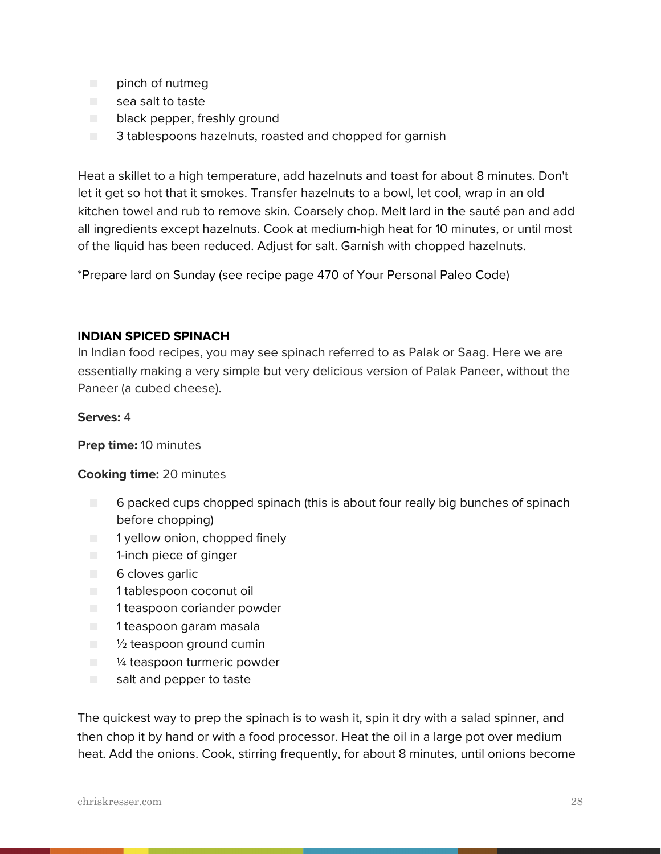- pinch of nutmeg
- sea salt to taste
- black pepper, freshly ground
- 3 tablespoons hazelnuts, roasted and chopped for garnish

Heat a skillet to a high temperature, add hazelnuts and toast for about 8 minutes. Don't let it get so hot that it smokes. Transfer hazelnuts to a bowl, let cool, wrap in an old kitchen towel and rub to remove skin. Coarsely chop. Melt lard in the sauté pan and add all ingredients except hazelnuts. Cook at medium-high heat for 10 minutes, or until most of the liquid has been reduced. Adjust for salt. Garnish with chopped hazelnuts.

\*Prepare lard on Sunday (see recipe page 470 of Your Personal Paleo Code)

### **INDIAN SPICED SPINACH**

In Indian food recipes, you may see spinach referred to as Palak or Saag. Here we are essentially making a very simple but very delicious version of Palak Paneer, without the Paneer (a cubed cheese).

### **Serves:** 4

**Prep time:** 10 minutes

### **Cooking time:** 20 minutes

- 6 packed cups chopped spinach (this is about four really big bunches of spinach before chopping)
- 1 yellow onion, chopped finely
- 1-inch piece of ginger
- 6 cloves garlic
- 1 tablespoon coconut oil
- 1 teaspoon coriander powder
- 1 teaspoon garam masala
- $\blacksquare$  1/2 teaspoon ground cumin
- <sup>1/4</sup> teaspoon turmeric powder
- salt and pepper to taste

The quickest way to prep the spinach is to wash it, spin it dry with a salad spinner, and then chop it by hand or with a food processor. Heat the oil in a large pot over medium heat. Add the onions. Cook, stirring frequently, for about 8 minutes, until onions become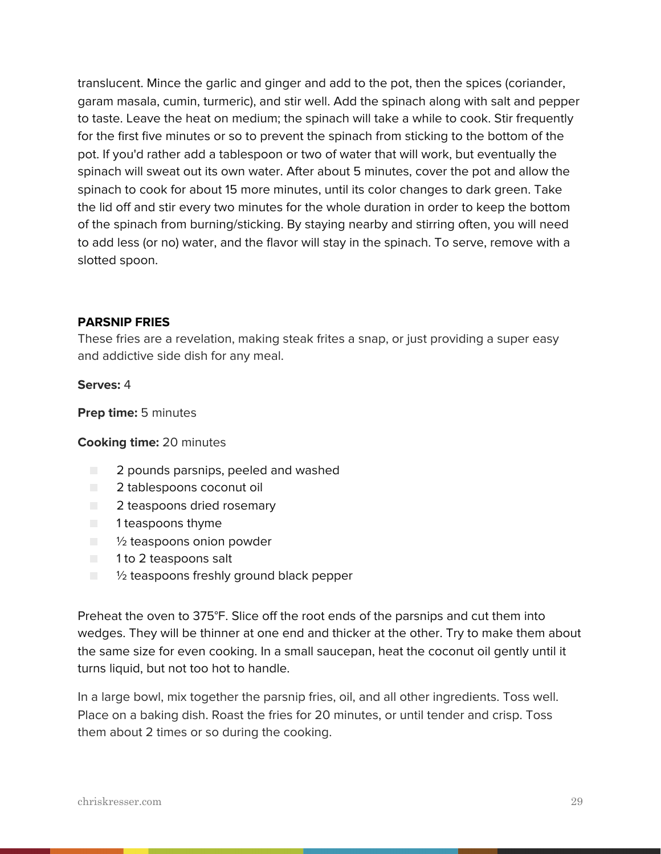translucent. Mince the garlic and ginger and add to the pot, then the spices (coriander, garam masala, cumin, turmeric), and stir well. Add the spinach along with salt and pepper to taste. Leave the heat on medium; the spinach will take a while to cook. Stir frequently for the first five minutes or so to prevent the spinach from sticking to the bottom of the pot. If you'd rather add a tablespoon or two of water that will work, but eventually the spinach will sweat out its own water. After about 5 minutes, cover the pot and allow the spinach to cook for about 15 more minutes, until its color changes to dark green. Take the lid off and stir every two minutes for the whole duration in order to keep the bottom of the spinach from burning/sticking. By staying nearby and stirring often, you will need to add less (or no) water, and the flavor will stay in the spinach. To serve, remove with a slotted spoon.

### **PARSNIP FRIES**

These fries are a revelation, making steak frites a snap, or just providing a super easy and addictive side dish for any meal.

#### **Serves:** 4

**Prep time:** 5 minutes

### **Cooking time:** 20 minutes

- 2 pounds parsnips, peeled and washed
- 2 tablespoons coconut oil
- 2 teaspoons dried rosemary
- 1 teaspoons thyme
- <sup>1/2</sup> teaspoons onion powder
- 1 to 2 teaspoons salt
- $\blacksquare$   $\blacksquare$   $\blacksquare$   $\blacksquare$   $\blacksquare$  teaspoons freshly ground black pepper

Preheat the oven to 375°F. Slice off the root ends of the parsnips and cut them into wedges. They will be thinner at one end and thicker at the other. Try to make them about the same size for even cooking. In a small saucepan, heat the coconut oil gently until it turns liquid, but not too hot to handle.

In a large bowl, mix together the parsnip fries, oil, and all other ingredients. Toss well. Place on a baking dish. Roast the fries for 20 minutes, or until tender and crisp. Toss them about 2 times or so during the cooking.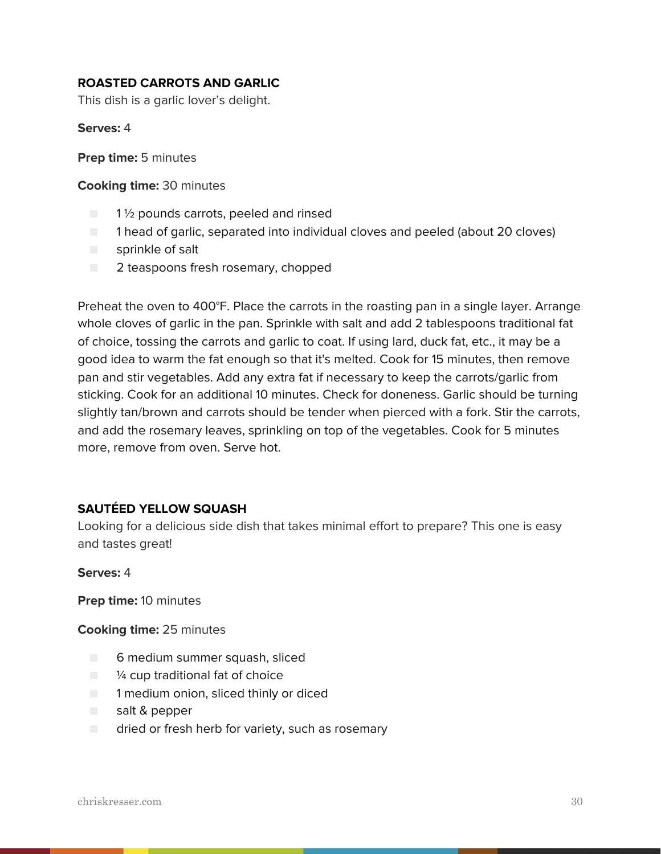### **ROASTED CARROTS AND GARLIC**

This dish is a garlic lover's delight.

**Serves:** 4

**Prep time:** 5 minutes

**Cooking time:** 30 minutes

- 1<sup>1</sup>/<sub>2</sub> pounds carrots, peeled and rinsed
- 1 head of garlic, separated into individual cloves and peeled (about 20 cloves)
- sprinkle of salt
- 2 teaspoons fresh rosemary, chopped

Preheat the oven to 400°F. Place the carrots in the roasting pan in a single layer. Arrange whole cloves of garlic in the pan. Sprinkle with salt and add 2 tablespoons traditional fat of choice, tossing the carrots and garlic to coat. If using lard, duck fat, etc., it may be a good idea to warm the fat enough so that it's melted. Cook for 15 minutes, then remove pan and stir vegetables. Add any extra fat if necessary to keep the carrots/garlic from sticking. Cook for an additional 10 minutes. Check for doneness. Garlic should be turning slightly tan/brown and carrots should be tender when pierced with a fork. Stir the carrots, and add the rosemary leaves, sprinkling on top of the vegetables. Cook for 5 minutes more, remove from oven. Serve hot.

### **SAUTÉED YELLOW SQUASH**

Looking for a delicious side dish that takes minimal effort to prepare? This one is easy and tastes great!

**Serves:** 4

**Prep time:** 10 minutes

**Cooking time:** 25 minutes

- 6 medium summer squash, sliced
- $\blacksquare$   $\mathcal V_4$  cup traditional fat of choice
- **T** 1 medium onion, sliced thinly or diced
- salt & pepper
- dried or fresh herb for variety, such as rosemary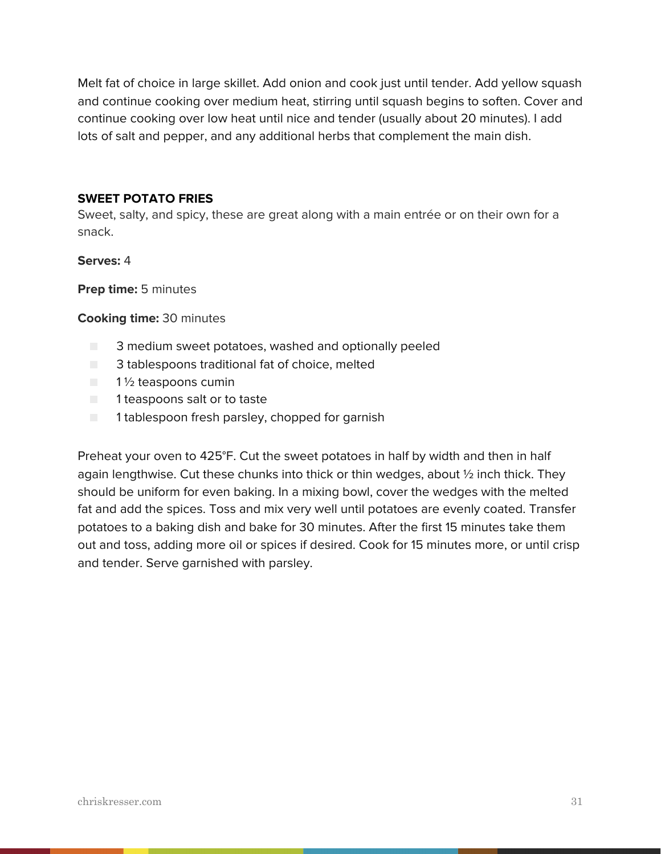Melt fat of choice in large skillet. Add onion and cook just until tender. Add yellow squash and continue cooking over medium heat, stirring until squash begins to soften. Cover and continue cooking over low heat until nice and tender (usually about 20 minutes). I add lots of salt and pepper, and any additional herbs that complement the main dish.

### **SWEET POTATO FRIES**

Sweet, salty, and spicy, these are great along with a main entrée or on their own for a snack.

### **Serves:** 4

**Prep time:** 5 minutes

### **Cooking time:** 30 minutes

- 3 medium sweet potatoes, washed and optionally peeled
- 3 tablespoons traditional fat of choice, melted
- 1<sup>1/2</sup> teaspoons cumin
- 1 teaspoons salt or to taste
- 1 tablespoon fresh parsley, chopped for garnish

Preheat your oven to 425°F. Cut the sweet potatoes in half by width and then in half again lengthwise. Cut these chunks into thick or thin wedges, about  $\frac{1}{2}$  inch thick. They should be uniform for even baking. In a mixing bowl, cover the wedges with the melted fat and add the spices. Toss and mix very well until potatoes are evenly coated. Transfer potatoes to a baking dish and bake for 30 minutes. After the first 15 minutes take them out and toss, adding more oil or spices if desired. Cook for 15 minutes more, or until crisp and tender. Serve garnished with parsley.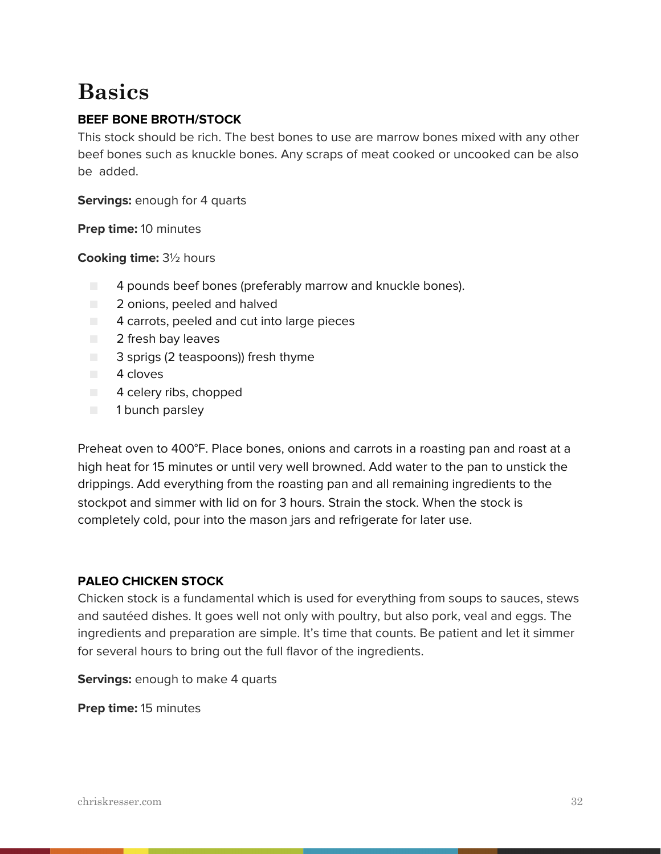### **Basics**

### **BEEF BONE BROTH/STOCK**

This stock should be rich. The best bones to use are marrow bones mixed with any other beef bones such as knuckle bones. Any scraps of meat cooked or uncooked can be also be added.

**Servings:** enough for 4 quarts

**Prep time:** 10 minutes

**Cooking time:** 3½ hours

- $\Box$  4 pounds beef bones (preferably marrow and knuckle bones).
- 2 onions, peeled and halved
- $\Box$  4 carrots, peeled and cut into large pieces
- 2 fresh bay leaves
- 3 sprigs (2 teaspoons)) fresh thyme
- 4 cloves
- 4 celery ribs, chopped
- 1 bunch parsley

Preheat oven to 400°F. Place bones, onions and carrots in a roasting pan and roast at a high heat for 15 minutes or until very well browned. Add water to the pan to unstick the drippings. Add everything from the roasting pan and all remaining ingredients to the stockpot and simmer with lid on for 3 hours. Strain the stock. When the stock is completely cold, pour into the mason jars and refrigerate for later use.

### **PALEO CHICKEN STOCK**

Chicken stock is a fundamental which is used for everything from soups to sauces, stews and sautéed dishes. It goes well not only with poultry, but also pork, veal and eggs. The ingredients and preparation are simple. It's time that counts. Be patient and let it simmer for several hours to bring out the full flavor of the ingredients.

**Servings:** enough to make 4 quarts

**Prep time:** 15 minutes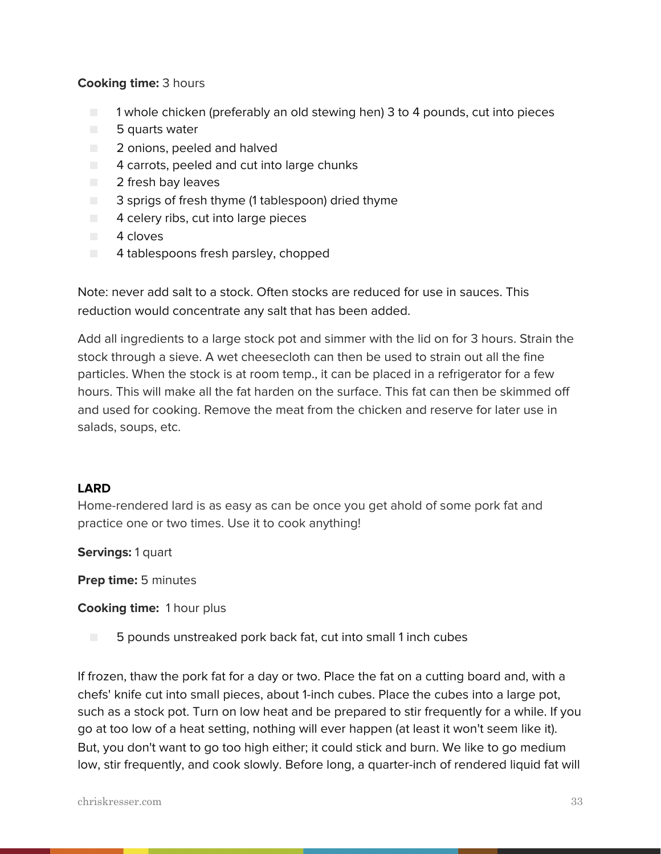### **Cooking time:** 3 hours

- 1 whole chicken (preferably an old stewing hen) 3 to 4 pounds, cut into pieces
- 5 quarts water
- 2 onions, peeled and halved
- $\Box$  4 carrots, peeled and cut into large chunks
- 2 fresh bay leaves
- 3 sprigs of fresh thyme (1 tablespoon) dried thyme
- $\Box$  4 celery ribs, cut into large pieces
- 4 cloves
- 4 tablespoons fresh parsley, chopped

Note: never add salt to a stock. Often stocks are reduced for use in sauces. This reduction would concentrate any salt that has been added.

Add all ingredients to a large stock pot and simmer with the lid on for 3 hours. Strain the stock through a sieve. A wet cheesecloth can then be used to strain out all the fine particles. When the stock is at room temp., it can be placed in a refrigerator for a few hours. This will make all the fat harden on the surface. This fat can then be skimmed off and used for cooking. Remove the meat from the chicken and reserve for later use in salads, soups, etc.

### **LARD**

Home-rendered lard is as easy as can be once you get ahold of some pork fat and practice one or two times. Use it to cook anything!

**Servings:** 1 quart

**Prep time:** 5 minutes

**Cooking time:** 1 hour plus

■ 5 pounds unstreaked pork back fat, cut into small 1 inch cubes

If frozen, thaw the pork fat for a day or two. Place the fat on a cutting board and, with a chefs' knife cut into small pieces, about 1-inch cubes. Place the cubes into a large pot, such as a stock pot. Turn on low heat and be prepared to stir frequently for a while. If you go at too low of a heat setting, nothing will ever happen (at least it won't seem like it). But, you don't want to go too high either; it could stick and burn. We like to go medium low, stir frequently, and cook slowly. Before long, a quarter-inch of rendered liquid fat will